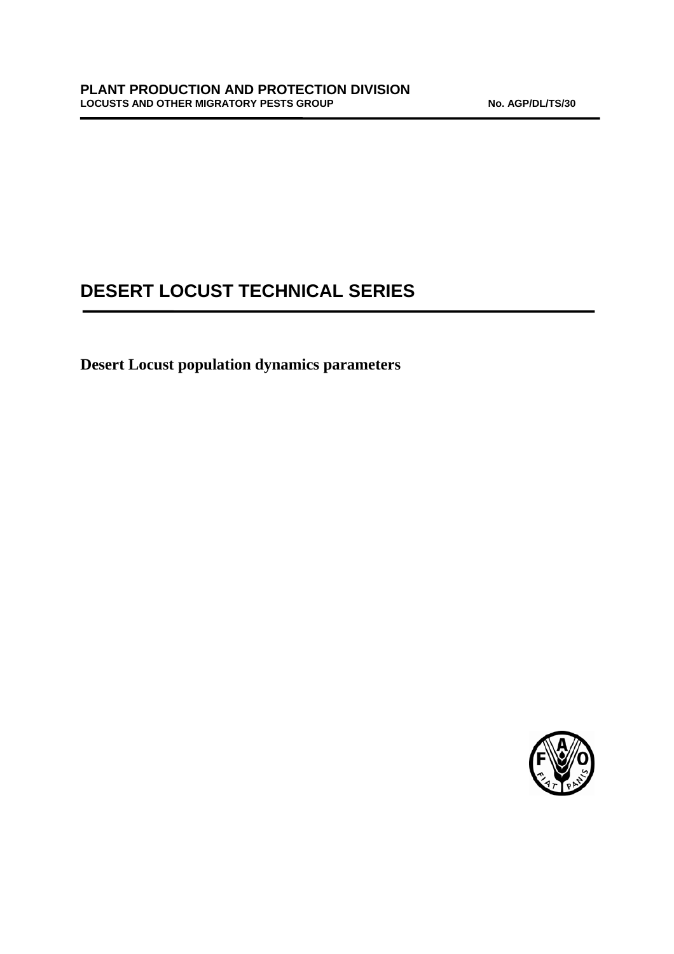# **DESERT LOCUST TECHNICAL SERIES**

**Desert Locust population dynamics parameters** 

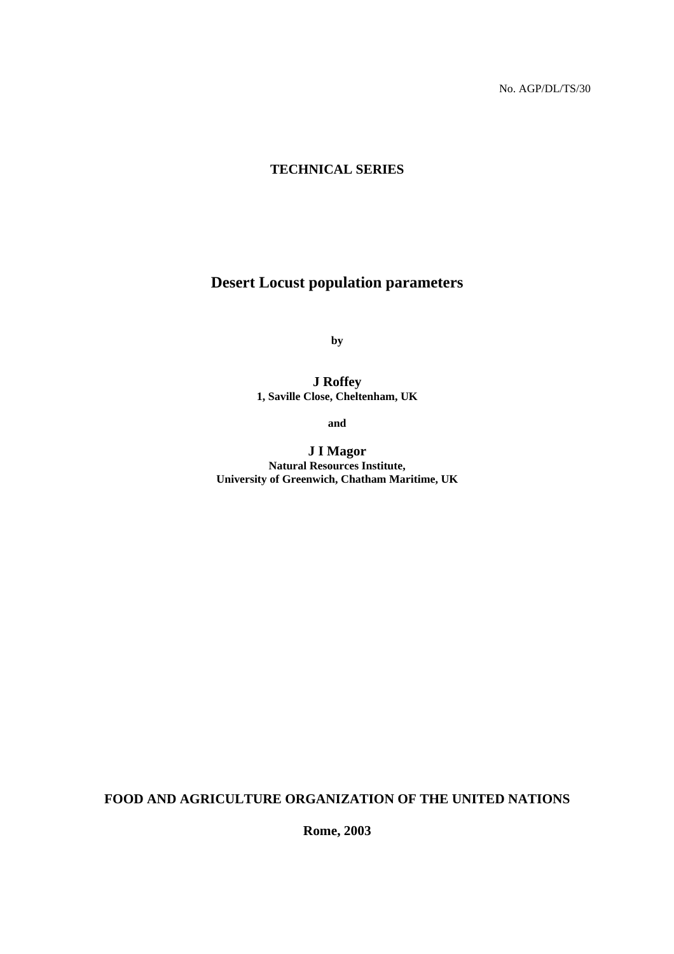## **TECHNICAL SERIES**

## **Desert Locust population parameters**

**by** 

**J Roffey 1, Saville Close, Cheltenham, UK** 

**and** 

**J I Magor Natural Resources Institute, University of Greenwich, Chatham Maritime, UK** 

**FOOD AND AGRICULTURE ORGANIZATION OF THE UNITED NATIONS** 

**Rome, 2003**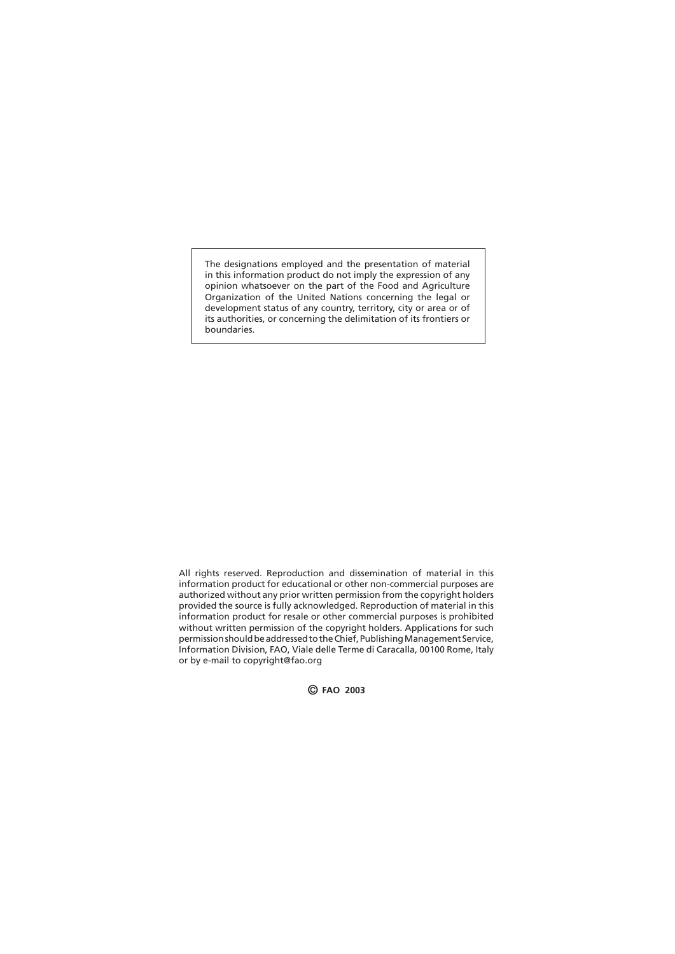The designations employed and the presentation of material in this information product do not imply the expression of any opinion whatsoever on the part of the Food and Agriculture Organization of the United Nations concerning the legal or development status of any country, territory, city or area or of its authorities, or concerning the delimitation of its frontiers or boundaries.

All rights reserved. Reproduction and dissemination of material in this information product for educational or other non-commercial purposes are authorized without any prior written permission from the copyright holders provided the source is fully acknowledged. Reproduction of material in this information product for resale or other commercial purposes is prohibited without written permission of the copyright holders. Applications for such permission should be addressed to the Chief, Publishing Management Service, Information Division, FAO, Viale delle Terme di Caracalla, 00100 Rome, Italy or by e-mail to copyright@fao.org

© **FAO 2003**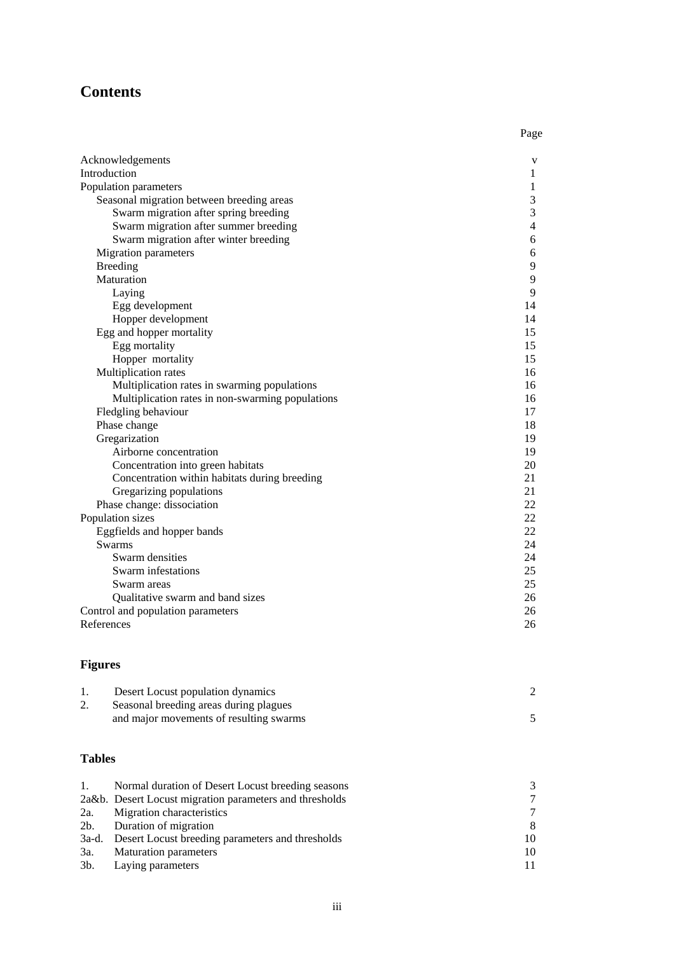## **Contents**

|                                                  | Page |
|--------------------------------------------------|------|
| Acknowledgements                                 | V    |
| Introduction                                     | 1    |
| Population parameters                            | 1    |
| Seasonal migration between breeding areas        | 3    |
| Swarm migration after spring breeding            | 3    |
| Swarm migration after summer breeding            | 4    |
| Swarm migration after winter breeding            | 6    |
| Migration parameters                             | 6    |
| Breeding                                         | 9    |
| Maturation                                       | 9    |
| Laying                                           | 9    |
| Egg development                                  | 14   |
| Hopper development                               | 14   |
| Egg and hopper mortality                         | 15   |
| Egg mortality                                    | 15   |
| Hopper mortality                                 | 15   |
| Multiplication rates                             | 16   |
| Multiplication rates in swarming populations     | 16   |
| Multiplication rates in non-swarming populations | 16   |
| Fledgling behaviour                              | 17   |
| Phase change                                     | 18   |
| Gregarization                                    | 19   |
| Airborne concentration                           | 19   |
| Concentration into green habitats                | 20   |
| Concentration within habitats during breeding    | 21   |
| Gregarizing populations                          | 21   |
| Phase change: dissociation                       | 22   |
| Population sizes                                 | 22   |
| Eggfields and hopper bands                       | 22   |
| <b>Swarms</b>                                    | 24   |
| Swarm densities                                  | 24   |
| Swarm infestations                               | 25   |
| Swarm areas                                      | 25   |
| Qualitative swarm and band sizes                 | 26   |
| Control and population parameters                | 26   |
| References                                       | 26   |
|                                                  |      |

## **Figures**

| Desert Locust population dynamics       |  |
|-----------------------------------------|--|
| Seasonal breeding areas during plagues  |  |
| and major movements of resulting swarms |  |
|                                         |  |

## **Tables**

| $\mathbf{1}$ . | Normal duration of Desert Locust breeding seasons       | $\mathcal{R}$ |
|----------------|---------------------------------------------------------|---------------|
|                | 2a&b. Desert Locust migration parameters and thresholds | $\tau$        |
| 2a.            | Migration characteristics                               | $\tau$        |
|                | 2b. Duration of migration                               | 8             |
|                | 3a-d. Desert Locust breeding parameters and thresholds  | 10            |
| 3a.            | <b>Maturation parameters</b>                            | 10            |
|                | 3b. Laying parameters                                   |               |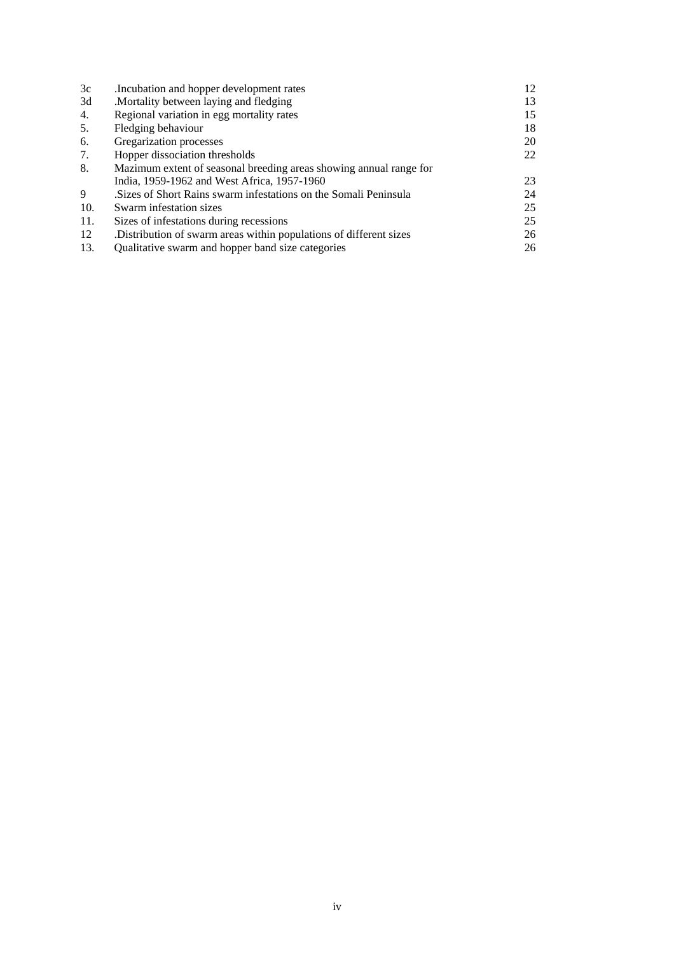| 3c  | Incubation and hopper development rates                            | 12 |
|-----|--------------------------------------------------------------------|----|
| 3d  | Mortality between laying and fledging.                             | 13 |
| 4.  | Regional variation in egg mortality rates                          | 15 |
| 5.  | Fledging behaviour                                                 | 18 |
| 6.  | Gregarization processes                                            | 20 |
| 7.  | Hopper dissociation thresholds                                     | 22 |
| 8.  | Mazimum extent of seasonal breeding areas showing annual range for |    |
|     | India, 1959-1962 and West Africa, 1957-1960                        | 23 |
| 9   | Sizes of Short Rains swarm infestations on the Somali Peninsula    | 24 |
| 10. | Swarm infestation sizes                                            | 25 |
| 11. | Sizes of infestations during recessions                            | 25 |
| 12  | Distribution of swarm areas within populations of different sizes. | 26 |
| 13. | Qualitative swarm and hopper band size categories                  | 26 |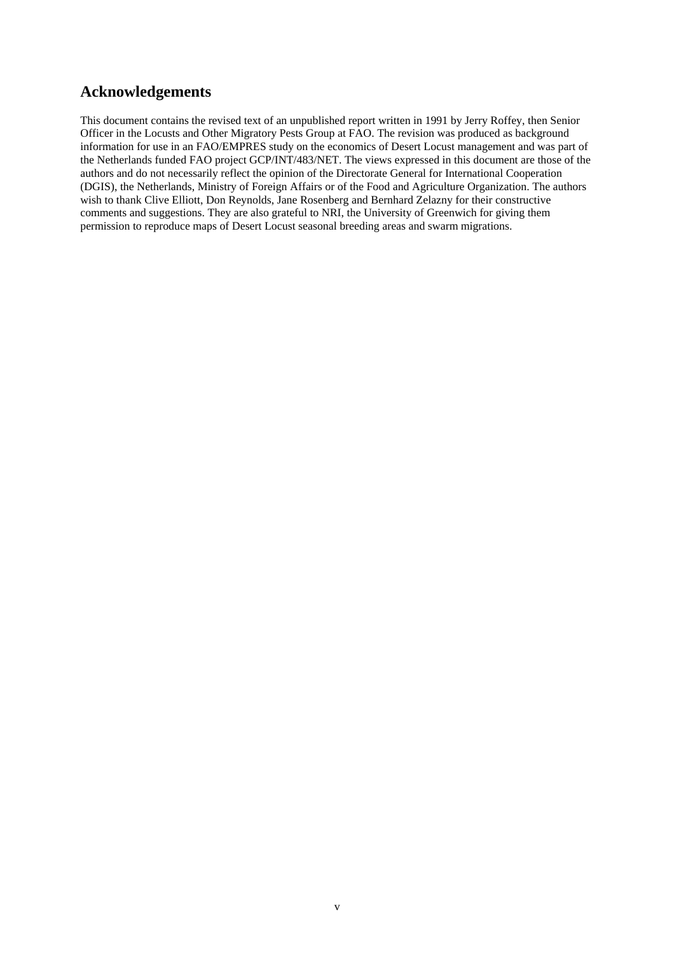## **Acknowledgements**

This document contains the revised text of an unpublished report written in 1991 by Jerry Roffey, then Senior Officer in the Locusts and Other Migratory Pests Group at FAO. The revision was produced as background information for use in an FAO/EMPRES study on the economics of Desert Locust management and was part of the Netherlands funded FAO project GCP/INT/483/NET. The views expressed in this document are those of the authors and do not necessarily reflect the opinion of the Directorate General for International Cooperation (DGIS), the Netherlands, Ministry of Foreign Affairs or of the Food and Agriculture Organization. The authors wish to thank Clive Elliott, Don Reynolds, Jane Rosenberg and Bernhard Zelazny for their constructive comments and suggestions. They are also grateful to NRI, the University of Greenwich for giving them permission to reproduce maps of Desert Locust seasonal breeding areas and swarm migrations.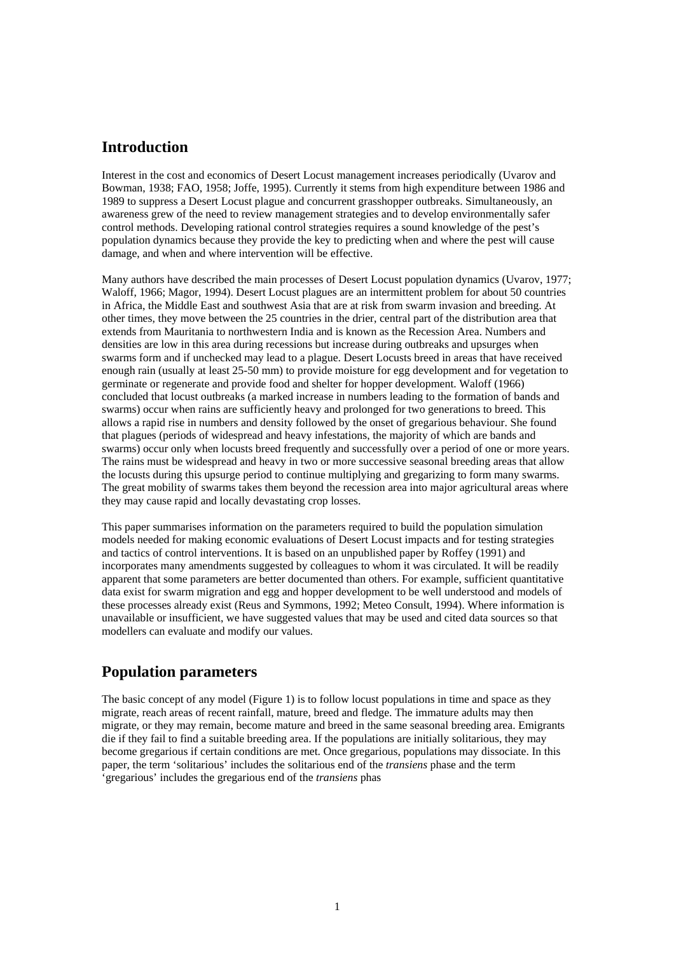## **Introduction**

Interest in the cost and economics of Desert Locust management increases periodically (Uvarov and Bowman, 1938; FAO, 1958; Joffe, 1995). Currently it stems from high expenditure between 1986 and 1989 to suppress a Desert Locust plague and concurrent grasshopper outbreaks. Simultaneously, an awareness grew of the need to review management strategies and to develop environmentally safer control methods. Developing rational control strategies requires a sound knowledge of the pest's population dynamics because they provide the key to predicting when and where the pest will cause damage, and when and where intervention will be effective.

Many authors have described the main processes of Desert Locust population dynamics (Uvarov, 1977; Waloff, 1966; Magor, 1994). Desert Locust plagues are an intermittent problem for about 50 countries in Africa, the Middle East and southwest Asia that are at risk from swarm invasion and breeding. At other times, they move between the 25 countries in the drier, central part of the distribution area that extends from Mauritania to northwestern India and is known as the Recession Area. Numbers and densities are low in this area during recessions but increase during outbreaks and upsurges when swarms form and if unchecked may lead to a plague. Desert Locusts breed in areas that have received enough rain (usually at least 25-50 mm) to provide moisture for egg development and for vegetation to germinate or regenerate and provide food and shelter for hopper development. Waloff (1966) concluded that locust outbreaks (a marked increase in numbers leading to the formation of bands and swarms) occur when rains are sufficiently heavy and prolonged for two generations to breed. This allows a rapid rise in numbers and density followed by the onset of gregarious behaviour. She found that plagues (periods of widespread and heavy infestations, the majority of which are bands and swarms) occur only when locusts breed frequently and successfully over a period of one or more years. The rains must be widespread and heavy in two or more successive seasonal breeding areas that allow the locusts during this upsurge period to continue multiplying and gregarizing to form many swarms. The great mobility of swarms takes them beyond the recession area into major agricultural areas where they may cause rapid and locally devastating crop losses.

This paper summarises information on the parameters required to build the population simulation models needed for making economic evaluations of Desert Locust impacts and for testing strategies and tactics of control interventions. It is based on an unpublished paper by Roffey (1991) and incorporates many amendments suggested by colleagues to whom it was circulated. It will be readily apparent that some parameters are better documented than others. For example, sufficient quantitative data exist for swarm migration and egg and hopper development to be well understood and models of these processes already exist (Reus and Symmons, 1992; Meteo Consult, 1994). Where information is unavailable or insufficient, we have suggested values that may be used and cited data sources so that modellers can evaluate and modify our values.

## **Population parameters**

The basic concept of any model (Figure 1) is to follow locust populations in time and space as they migrate, reach areas of recent rainfall, mature, breed and fledge. The immature adults may then migrate, or they may remain, become mature and breed in the same seasonal breeding area. Emigrants die if they fail to find a suitable breeding area. If the populations are initially solitarious, they may become gregarious if certain conditions are met. Once gregarious, populations may dissociate. In this paper, the term 'solitarious' includes the solitarious end of the *transiens* phase and the term 'gregarious' includes the gregarious end of the *transiens* phas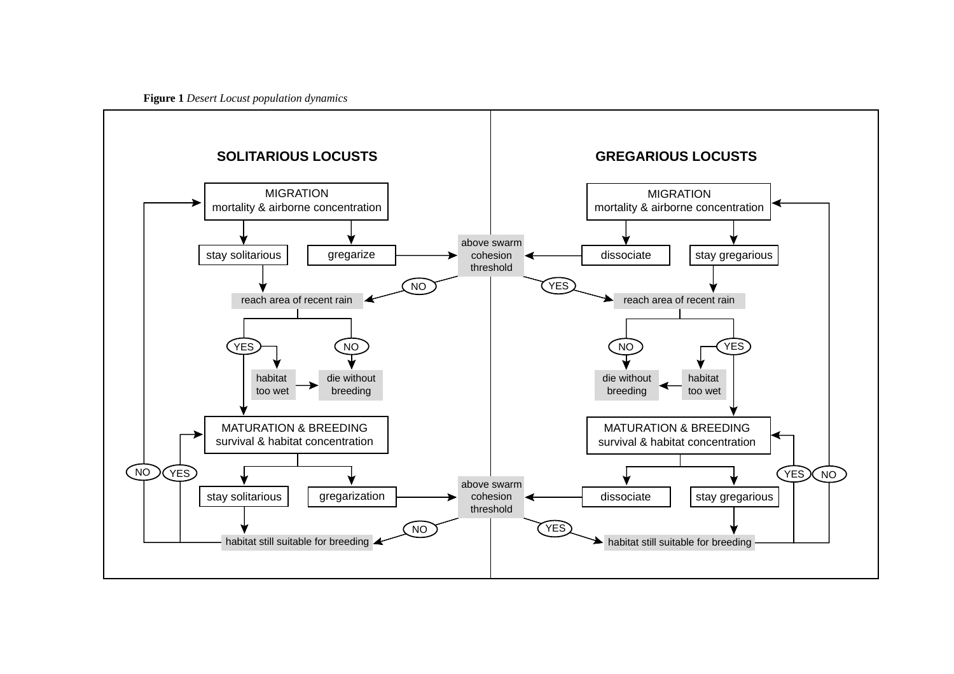**Figure 1** *Desert Locust population dynamics*

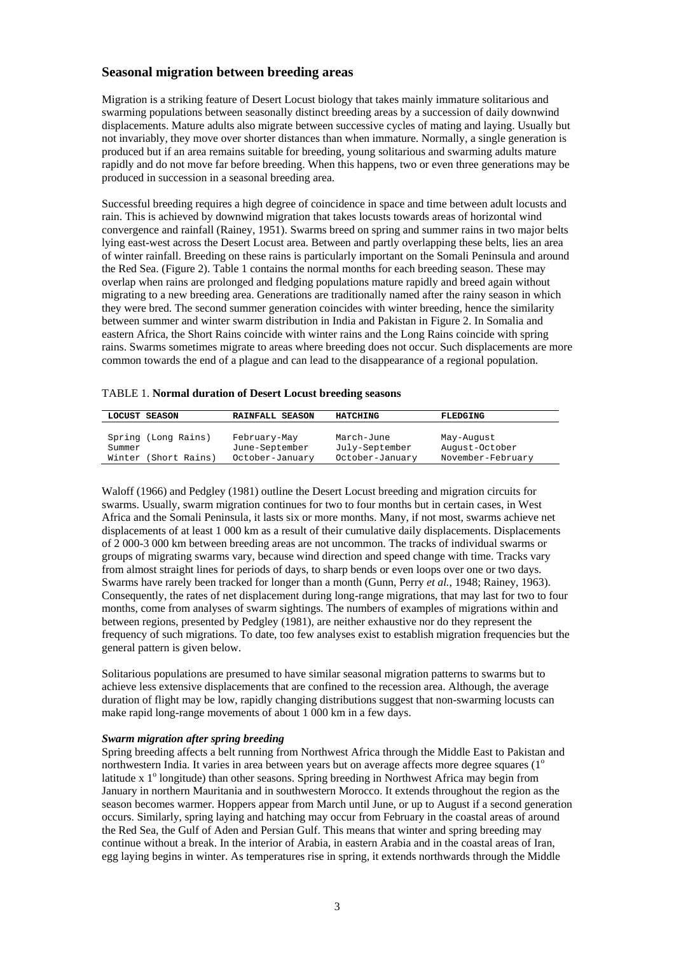## **Seasonal migration between breeding areas**

Migration is a striking feature of Desert Locust biology that takes mainly immature solitarious and swarming populations between seasonally distinct breeding areas by a succession of daily downwind displacements. Mature adults also migrate between successive cycles of mating and laying. Usually but not invariably, they move over shorter distances than when immature. Normally, a single generation is produced but if an area remains suitable for breeding, young solitarious and swarming adults mature rapidly and do not move far before breeding. When this happens, two or even three generations may be produced in succession in a seasonal breeding area.

Successful breeding requires a high degree of coincidence in space and time between adult locusts and rain. This is achieved by downwind migration that takes locusts towards areas of horizontal wind convergence and rainfall (Rainey, 1951). Swarms breed on spring and summer rains in two major belts lying east-west across the Desert Locust area. Between and partly overlapping these belts, lies an area of winter rainfall. Breeding on these rains is particularly important on the Somali Peninsula and around the Red Sea. (Figure 2). Table 1 contains the normal months for each breeding season. These may overlap when rains are prolonged and fledging populations mature rapidly and breed again without migrating to a new breeding area. Generations are traditionally named after the rainy season in which they were bred. The second summer generation coincides with winter breeding, hence the similarity between summer and winter swarm distribution in India and Pakistan in Figure 2. In Somalia and eastern Africa, the Short Rains coincide with winter rains and the Long Rains coincide with spring rains. Swarms sometimes migrate to areas where breeding does not occur. Such displacements are more common towards the end of a plague and can lead to the disappearance of a regional population.

| LOCUST SEASON                 | RAINFALL SEASON                | HATCHING                     | FLEDGING                     |
|-------------------------------|--------------------------------|------------------------------|------------------------------|
|                               |                                |                              |                              |
| Spring (Long Rains)<br>Summer | February-May<br>June-September | March-June<br>July-September | May-Auqust<br>August-October |
| Winter (Short Rains)          | October-January                | October-January              | November-February            |

Waloff (1966) and Pedgley (1981) outline the Desert Locust breeding and migration circuits for swarms. Usually, swarm migration continues for two to four months but in certain cases, in West Africa and the Somali Peninsula, it lasts six or more months. Many, if not most, swarms achieve net displacements of at least 1 000 km as a result of their cumulative daily displacements. Displacements of 2 000-3 000 km between breeding areas are not uncommon. The tracks of individual swarms or groups of migrating swarms vary, because wind direction and speed change with time. Tracks vary from almost straight lines for periods of days, to sharp bends or even loops over one or two days. Swarms have rarely been tracked for longer than a month (Gunn, Perry *et al.*, 1948; Rainey, 1963). Consequently, the rates of net displacement during long-range migrations, that may last for two to four months, come from analyses of swarm sightings. The numbers of examples of migrations within and between regions, presented by Pedgley (1981), are neither exhaustive nor do they represent the frequency of such migrations. To date, too few analyses exist to establish migration frequencies but the general pattern is given below.

Solitarious populations are presumed to have similar seasonal migration patterns to swarms but to achieve less extensive displacements that are confined to the recession area. Although, the average duration of flight may be low, rapidly changing distributions suggest that non-swarming locusts can make rapid long-range movements of about 1 000 km in a few days.

#### *Swarm migration after spring breeding*

Spring breeding affects a belt running from Northwest Africa through the Middle East to Pakistan and northwestern India. It varies in area between years but on average affects more degree squares  $(1^{\circ}$ latitude x 1<sup>°</sup> longitude) than other seasons. Spring breeding in Northwest Africa may begin from January in northern Mauritania and in southwestern Morocco. It extends throughout the region as the season becomes warmer. Hoppers appear from March until June, or up to August if a second generation occurs. Similarly, spring laying and hatching may occur from February in the coastal areas of around the Red Sea, the Gulf of Aden and Persian Gulf. This means that winter and spring breeding may continue without a break. In the interior of Arabia, in eastern Arabia and in the coastal areas of Iran, egg laying begins in winter. As temperatures rise in spring, it extends northwards through the Middle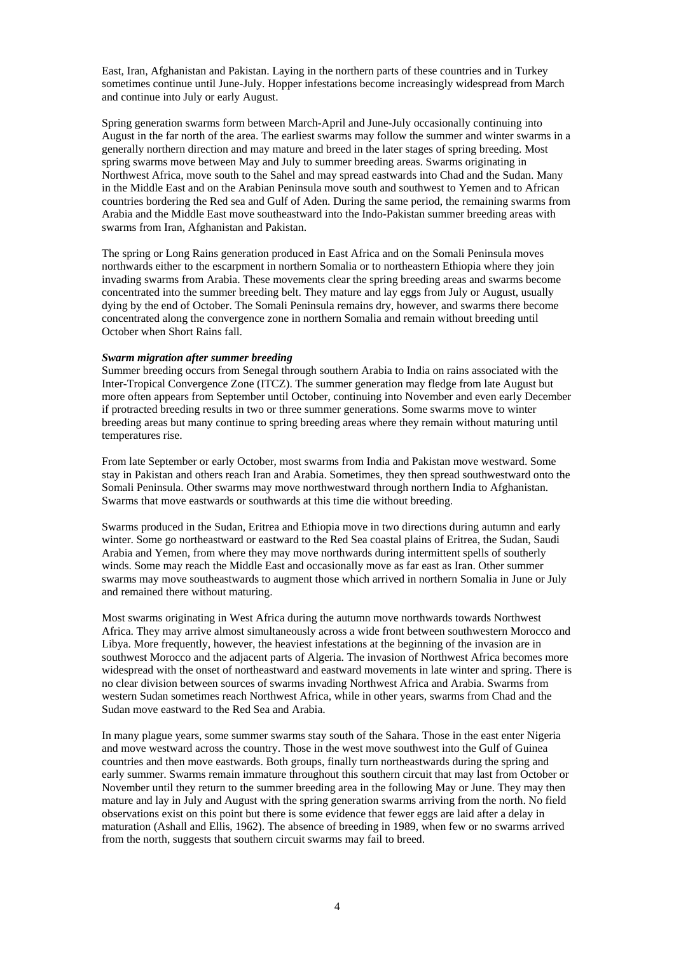East, Iran, Afghanistan and Pakistan. Laying in the northern parts of these countries and in Turkey sometimes continue until June-July. Hopper infestations become increasingly widespread from March and continue into July or early August.

Spring generation swarms form between March-April and June-July occasionally continuing into August in the far north of the area. The earliest swarms may follow the summer and winter swarms in a generally northern direction and may mature and breed in the later stages of spring breeding. Most spring swarms move between May and July to summer breeding areas. Swarms originating in Northwest Africa, move south to the Sahel and may spread eastwards into Chad and the Sudan. Many in the Middle East and on the Arabian Peninsula move south and southwest to Yemen and to African countries bordering the Red sea and Gulf of Aden. During the same period, the remaining swarms from Arabia and the Middle East move southeastward into the Indo-Pakistan summer breeding areas with swarms from Iran, Afghanistan and Pakistan.

The spring or Long Rains generation produced in East Africa and on the Somali Peninsula moves northwards either to the escarpment in northern Somalia or to northeastern Ethiopia where they join invading swarms from Arabia. These movements clear the spring breeding areas and swarms become concentrated into the summer breeding belt. They mature and lay eggs from July or August, usually dying by the end of October. The Somali Peninsula remains dry, however, and swarms there become concentrated along the convergence zone in northern Somalia and remain without breeding until October when Short Rains fall.

#### *Swarm migration after summer breeding*

Summer breeding occurs from Senegal through southern Arabia to India on rains associated with the Inter-Tropical Convergence Zone (ITCZ). The summer generation may fledge from late August but more often appears from September until October, continuing into November and even early December if protracted breeding results in two or three summer generations. Some swarms move to winter breeding areas but many continue to spring breeding areas where they remain without maturing until temperatures rise.

From late September or early October, most swarms from India and Pakistan move westward. Some stay in Pakistan and others reach Iran and Arabia. Sometimes, they then spread southwestward onto the Somali Peninsula. Other swarms may move northwestward through northern India to Afghanistan. Swarms that move eastwards or southwards at this time die without breeding.

Swarms produced in the Sudan, Eritrea and Ethiopia move in two directions during autumn and early winter. Some go northeastward or eastward to the Red Sea coastal plains of Eritrea, the Sudan, Saudi Arabia and Yemen, from where they may move northwards during intermittent spells of southerly winds. Some may reach the Middle East and occasionally move as far east as Iran. Other summer swarms may move southeastwards to augment those which arrived in northern Somalia in June or July and remained there without maturing.

Most swarms originating in West Africa during the autumn move northwards towards Northwest Africa. They may arrive almost simultaneously across a wide front between southwestern Morocco and Libya. More frequently, however, the heaviest infestations at the beginning of the invasion are in southwest Morocco and the adjacent parts of Algeria. The invasion of Northwest Africa becomes more widespread with the onset of northeastward and eastward movements in late winter and spring. There is no clear division between sources of swarms invading Northwest Africa and Arabia. Swarms from western Sudan sometimes reach Northwest Africa, while in other years, swarms from Chad and the Sudan move eastward to the Red Sea and Arabia.

In many plague years, some summer swarms stay south of the Sahara. Those in the east enter Nigeria and move westward across the country. Those in the west move southwest into the Gulf of Guinea countries and then move eastwards. Both groups, finally turn northeastwards during the spring and early summer. Swarms remain immature throughout this southern circuit that may last from October or November until they return to the summer breeding area in the following May or June. They may then mature and lay in July and August with the spring generation swarms arriving from the north. No field observations exist on this point but there is some evidence that fewer eggs are laid after a delay in maturation (Ashall and Ellis, 1962). The absence of breeding in 1989, when few or no swarms arrived from the north, suggests that southern circuit swarms may fail to breed.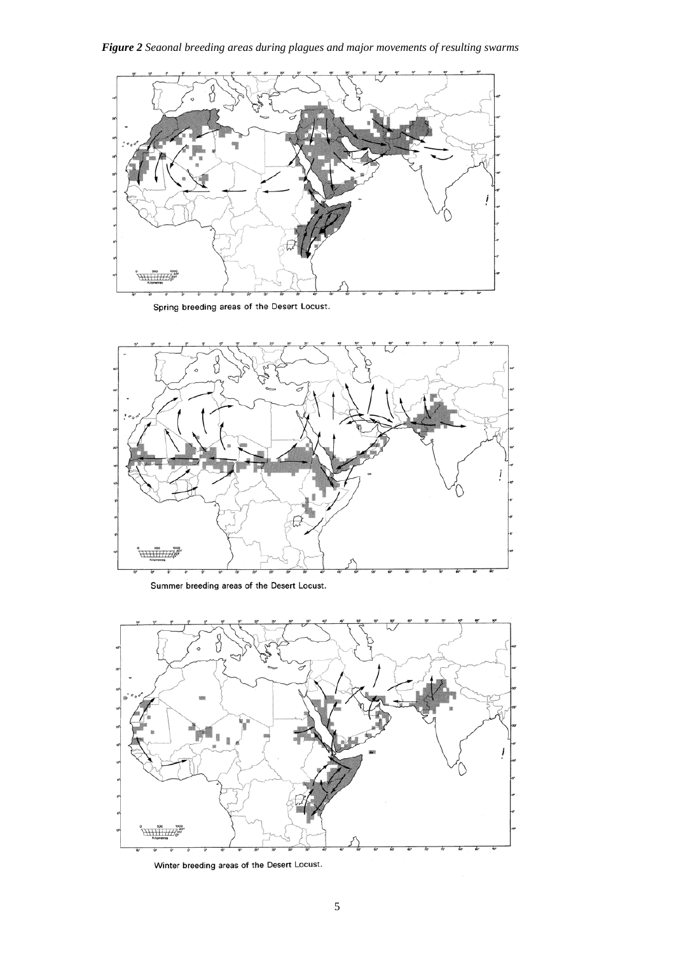*Figure 2 Seaonal breeding areas during plagues and major movements of resulting swarms*



Spring breeding areas of the Desert Locust.



Summer breeding areas of the Desert Locust.



Winter breeding areas of the Desert Locust.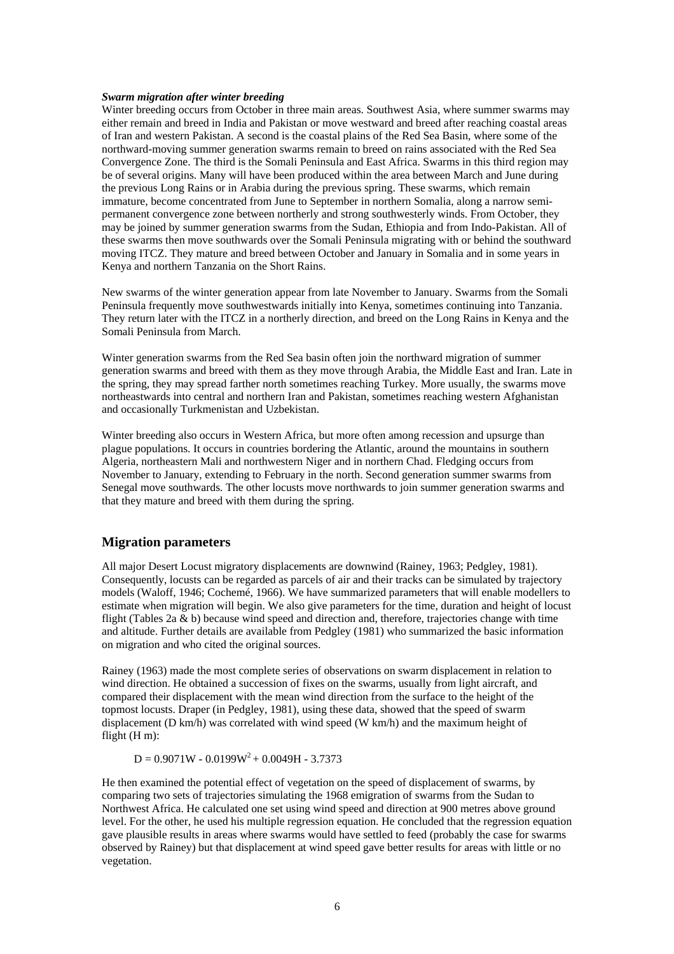#### *Swarm migration after winter breeding*

Winter breeding occurs from October in three main areas. Southwest Asia, where summer swarms may either remain and breed in India and Pakistan or move westward and breed after reaching coastal areas of Iran and western Pakistan. A second is the coastal plains of the Red Sea Basin, where some of the northward-moving summer generation swarms remain to breed on rains associated with the Red Sea Convergence Zone. The third is the Somali Peninsula and East Africa. Swarms in this third region may be of several origins. Many will have been produced within the area between March and June during the previous Long Rains or in Arabia during the previous spring. These swarms, which remain immature, become concentrated from June to September in northern Somalia, along a narrow semipermanent convergence zone between northerly and strong southwesterly winds. From October, they may be joined by summer generation swarms from the Sudan, Ethiopia and from Indo-Pakistan. All of these swarms then move southwards over the Somali Peninsula migrating with or behind the southward moving ITCZ. They mature and breed between October and January in Somalia and in some years in Kenya and northern Tanzania on the Short Rains.

New swarms of the winter generation appear from late November to January. Swarms from the Somali Peninsula frequently move southwestwards initially into Kenya, sometimes continuing into Tanzania. They return later with the ITCZ in a northerly direction, and breed on the Long Rains in Kenya and the Somali Peninsula from March.

Winter generation swarms from the Red Sea basin often join the northward migration of summer generation swarms and breed with them as they move through Arabia, the Middle East and Iran. Late in the spring, they may spread farther north sometimes reaching Turkey. More usually, the swarms move northeastwards into central and northern Iran and Pakistan, sometimes reaching western Afghanistan and occasionally Turkmenistan and Uzbekistan.

Winter breeding also occurs in Western Africa, but more often among recession and upsurge than plague populations. It occurs in countries bordering the Atlantic, around the mountains in southern Algeria, northeastern Mali and northwestern Niger and in northern Chad. Fledging occurs from November to January, extending to February in the north. Second generation summer swarms from Senegal move southwards. The other locusts move northwards to join summer generation swarms and that they mature and breed with them during the spring.

## **Migration parameters**

All major Desert Locust migratory displacements are downwind (Rainey, 1963; Pedgley, 1981). Consequently, locusts can be regarded as parcels of air and their tracks can be simulated by trajectory models (Waloff, 1946; Cochemé, 1966). We have summarized parameters that will enable modellers to estimate when migration will begin. We also give parameters for the time, duration and height of locust flight (Tables 2a & b) because wind speed and direction and, therefore, trajectories change with time and altitude. Further details are available from Pedgley (1981) who summarized the basic information on migration and who cited the original sources.

Rainey (1963) made the most complete series of observations on swarm displacement in relation to wind direction. He obtained a succession of fixes on the swarms, usually from light aircraft, and compared their displacement with the mean wind direction from the surface to the height of the topmost locusts. Draper (in Pedgley, 1981), using these data, showed that the speed of swarm displacement (D km/h) was correlated with wind speed (W km/h) and the maximum height of flight (H m):

 $D = 0.9071W - 0.0199W^2 + 0.0049H - 3.7373$ 

He then examined the potential effect of vegetation on the speed of displacement of swarms, by comparing two sets of trajectories simulating the 1968 emigration of swarms from the Sudan to Northwest Africa. He calculated one set using wind speed and direction at 900 metres above ground level. For the other, he used his multiple regression equation. He concluded that the regression equation gave plausible results in areas where swarms would have settled to feed (probably the case for swarms observed by Rainey) but that displacement at wind speed gave better results for areas with little or no vegetation.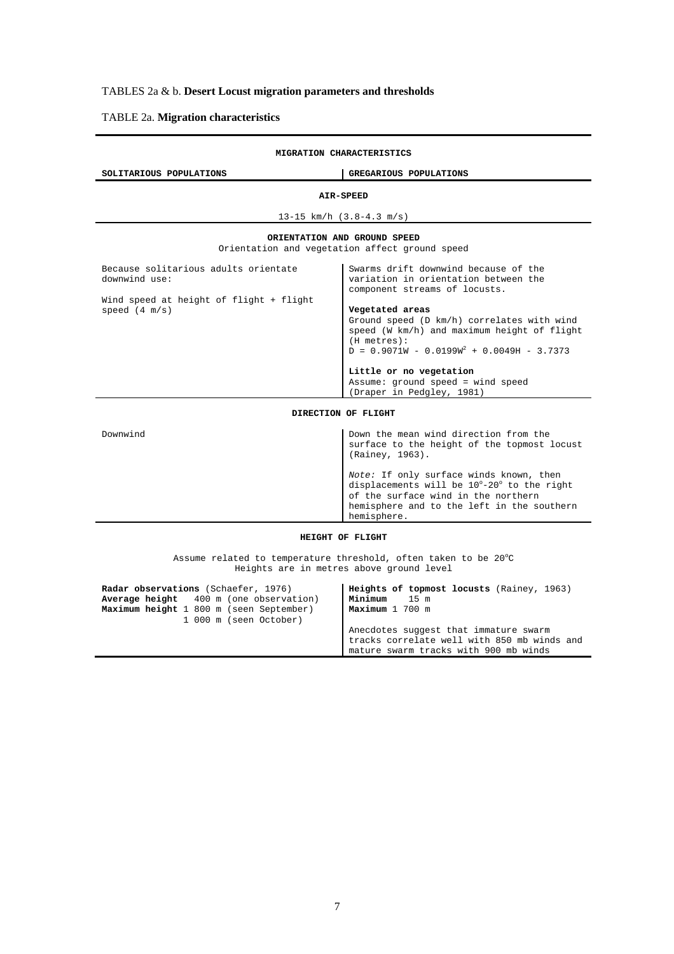## TABLES 2a & b. **Desert Locust migration parameters and thresholds**

## TABLE 2a. **Migration characteristics**

| MIGRATION CHARACTERISTICS                                       |                                                                                                                                                                                           |
|-----------------------------------------------------------------|-------------------------------------------------------------------------------------------------------------------------------------------------------------------------------------------|
| SOLITARIOUS POPULATIONS                                         | GREGARIOUS POPULATIONS                                                                                                                                                                    |
|                                                                 | AIR-SPEED                                                                                                                                                                                 |
|                                                                 | 13-15 $km/h$ (3.8-4.3 m/s)                                                                                                                                                                |
|                                                                 | ORIENTATION AND GROUND SPEED                                                                                                                                                              |
|                                                                 | Orientation and vegetation affect ground speed                                                                                                                                            |
| Because solitarious adults orientate<br>downwind use:           | Swarms drift downwind because of the<br>variation in orientation between the<br>component streams of locusts.                                                                             |
| Wind speed at height of flight + flight<br>speed (4 m/s)        | Vegetated areas<br>Ground speed (D km/h) correlates with wind<br>speed (W km/h) and maximum height of flight<br>$(H$ metres $):$<br>$D = 0.9071W - 0.0199W^{2} + 0.0049H - 3.7373$        |
|                                                                 | Little or no vegetation<br>Assume: ground speed = wind speed<br>(Draper in Pedgley, 1981)                                                                                                 |
|                                                                 | DIRECTION OF FLIGHT                                                                                                                                                                       |
| Downwind                                                        | Down the mean wind direction from the<br>surface to the height of the topmost locust<br>(Rainey, 1963).                                                                                   |
|                                                                 | Note: If only surface winds known, then<br>displacements will be 10°-20° to the right<br>of the surface wind in the northern<br>hemisphere and to the left in the southern<br>hemisphere. |
| HEIGHT OF FLIGHT                                                |                                                                                                                                                                                           |
| Assume related to temperature threshold, often taken to be 20°C |                                                                                                                                                                                           |

Heights are in metres above ground level

| Radar observations (Schaefer, 1976)<br>Average height 400 m (one observation)<br>Maximum height 1 800 m (seen September)<br>1 000 m (seen October) | Heights of topmost locusts (Rainey, 1963)<br>Minimum<br>$15 \text{ m}$<br>Maximum 1 700 m<br>Anecdotes suggest that immature swarm<br>tracks correlate well with 850 mb winds and |
|----------------------------------------------------------------------------------------------------------------------------------------------------|-----------------------------------------------------------------------------------------------------------------------------------------------------------------------------------|
|                                                                                                                                                    | mature swarm tracks with 900 mb winds                                                                                                                                             |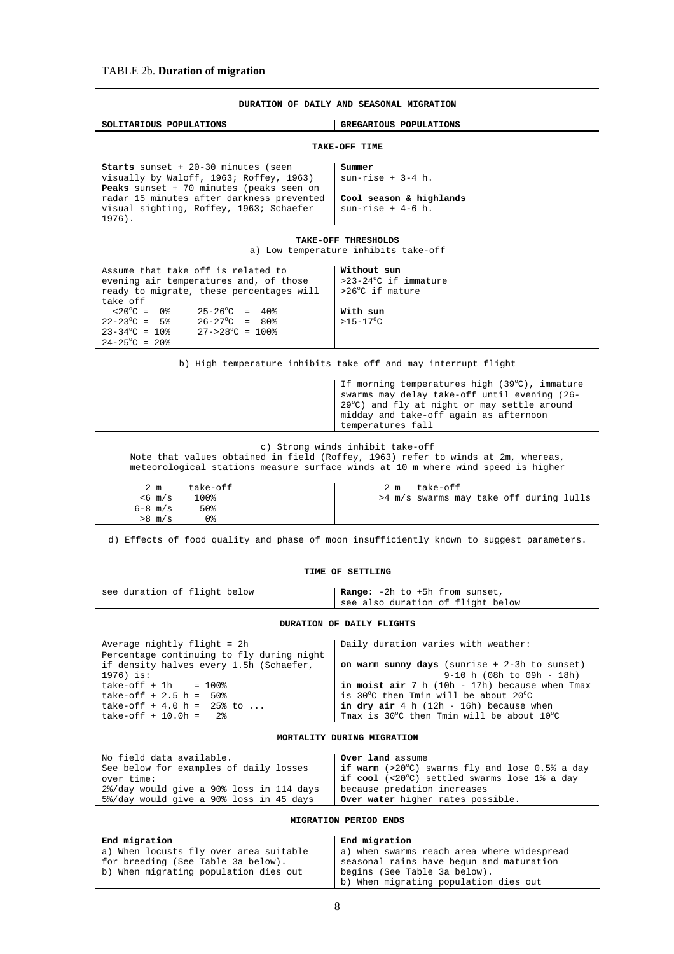| DURATION OF DAILY AND SEASONAL MIGRATION                                                                                                                                                                                                                                                                                                          |                                                                                                                                                                                                             |  |
|---------------------------------------------------------------------------------------------------------------------------------------------------------------------------------------------------------------------------------------------------------------------------------------------------------------------------------------------------|-------------------------------------------------------------------------------------------------------------------------------------------------------------------------------------------------------------|--|
| SOLITARIOUS POPULATIONS                                                                                                                                                                                                                                                                                                                           | GREGARIOUS POPULATIONS                                                                                                                                                                                      |  |
|                                                                                                                                                                                                                                                                                                                                                   | TAKE-OFF TIME                                                                                                                                                                                               |  |
| <b>Starts</b> sunset $+20-30$ minutes (seen<br>visually by Waloff, 1963; Roffey, 1963)<br>Peaks sunset + 70 minutes (peaks seen on<br>radar 15 minutes after darkness prevented<br>visual sighting, Roffey, 1963; Schaefer<br>$1976$ .                                                                                                            | Summer<br>$sun\text{-rise} + 3-4 h.$<br>Cool season & highlands<br>$sum-rise + 4-6 h.$                                                                                                                      |  |
|                                                                                                                                                                                                                                                                                                                                                   | TAKE-OFF THRESHOLDS<br>a) Low temperature inhibits take-off                                                                                                                                                 |  |
| Assume that take off is related to<br>evening air temperatures and, of those<br>ready to migrate, these percentages will<br>take off<br>$< 20^{\circ}$ C = 0 %<br>$25-26^{\circ}$ C = 40%<br>$22 - 23^{\circ}$ C = 5%<br>$26 - 27^{\circ}$ C = 80%<br>$23 - 34^{\circ}C = 10^{\circ}$<br>$27 - >28$ °C = 100%<br>$24 - 25^{\circ}C = 20^{\circ}C$ | Without sun<br>>23-24°C if immature<br>>26°C if mature<br>With sun<br>$>15-17^{\circ}$ C                                                                                                                    |  |
|                                                                                                                                                                                                                                                                                                                                                   | b) High temperature inhibits take off and may interrupt flight                                                                                                                                              |  |
|                                                                                                                                                                                                                                                                                                                                                   | If morning temperatures high (39°C), immature<br>swarms may delay take-off until evening (26-<br>29°C) and fly at night or may settle around<br>midday and take-off again as afternoon<br>temperatures fall |  |
| c) Strong winds inhibit take-off<br>Note that values obtained in field (Roffey, 1963) refer to winds at 2m, whereas,<br>meteorological stations measure surface winds at 10 m where wind speed is higher                                                                                                                                          |                                                                                                                                                                                                             |  |
| take-off<br>2 <sub>m</sub><br>$< 6$ m/s<br>100%<br>$6 - 8$ m/s<br>50%<br>0 %<br>$>8$ m/s                                                                                                                                                                                                                                                          | take-off<br>2 m<br>>4 m/s swarms may take off during lulls                                                                                                                                                  |  |
| d) Effects of food quality and phase of moon insufficiently known to suggest parameters.                                                                                                                                                                                                                                                          |                                                                                                                                                                                                             |  |

#### **TIME OF SETTLING**

see duration of flight below **Range:** -2h to +5h from sunset, see also duration of flight below

#### **DURATION OF DAILY FLIGHTS**

| Average nightly flight = 2h<br>Percentage continuing to fly during night | Daily duration varies with weather:                                          |
|--------------------------------------------------------------------------|------------------------------------------------------------------------------|
| if density halves every 1.5h (Schaefer,<br>1976) is:                     | on warm sunny days (sunrise + 2-3h to sunset)<br>$9-10$ h (08h to 09h - 18h) |
| $take-off + 1h = 100%$                                                   | in moist air $7 h (10h - 17h)$ because when Tmax                             |
| take-off $+2.5 h = 50$                                                   | is 30°C then Tmin will be about 20°C                                         |
| take-off $+4.0 h = 25$ to                                                | in dry air $4 h (12h - 16h)$ because when                                    |
| $take-off + 10.0h = 2%$                                                  | Tmax is 30°C then Tmin will be about 10°C                                    |

### **MORTALITY DURING MIGRATION**

| No field data available.                 | <b>Over land</b> assume                                 |
|------------------------------------------|---------------------------------------------------------|
| See below for examples of daily losses   | if warm $(>20^{\circ}C)$ swarms fly and lose 0.5% a day |
| over time:                               | I if cool (<20°C) settled swarms lose 1% a day          |
| 2%/day would give a 90% loss in 114 days | because predation increases                             |
| 5%/day would give a 90% loss in 45 days  | <b>Over water</b> higher rates possible.                |

#### **MIGRATION PERIOD ENDS**

| End migration                          | End migration                              |
|----------------------------------------|--------------------------------------------|
| a) When locusts fly over area suitable | a) when swarms reach area where widespread |
| for breeding (See Table 3a below).     | seasonal rains have begun and maturation   |
| b) When migrating population dies out  | begins (See Table 3a below).               |
|                                        | b) When migrating population dies out      |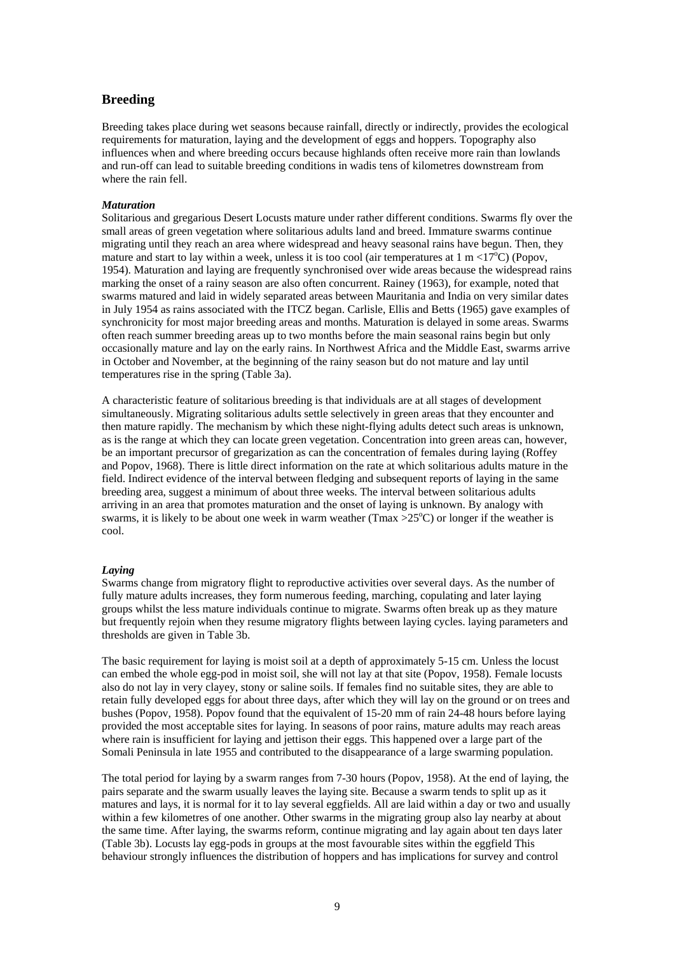## **Breeding**

Breeding takes place during wet seasons because rainfall, directly or indirectly, provides the ecological requirements for maturation, laying and the development of eggs and hoppers. Topography also influences when and where breeding occurs because highlands often receive more rain than lowlands and run-off can lead to suitable breeding conditions in wadis tens of kilometres downstream from where the rain fell.

#### *Maturation*

Solitarious and gregarious Desert Locusts mature under rather different conditions. Swarms fly over the small areas of green vegetation where solitarious adults land and breed. Immature swarms continue migrating until they reach an area where widespread and heavy seasonal rains have begun. Then, they mature and start to lay within a week, unless it is too cool (air temperatures at  $1 \text{ m} < 17^{\circ}\text{C}$ ) (Popov, 1954). Maturation and laying are frequently synchronised over wide areas because the widespread rains marking the onset of a rainy season are also often concurrent. Rainey (1963), for example, noted that swarms matured and laid in widely separated areas between Mauritania and India on very similar dates in July 1954 as rains associated with the ITCZ began. Carlisle, Ellis and Betts (1965) gave examples of synchronicity for most major breeding areas and months. Maturation is delayed in some areas. Swarms often reach summer breeding areas up to two months before the main seasonal rains begin but only occasionally mature and lay on the early rains. In Northwest Africa and the Middle East, swarms arrive in October and November, at the beginning of the rainy season but do not mature and lay until temperatures rise in the spring (Table 3a).

A characteristic feature of solitarious breeding is that individuals are at all stages of development simultaneously. Migrating solitarious adults settle selectively in green areas that they encounter and then mature rapidly. The mechanism by which these night-flying adults detect such areas is unknown, as is the range at which they can locate green vegetation. Concentration into green areas can, however, be an important precursor of gregarization as can the concentration of females during laying (Roffey and Popov, 1968). There is little direct information on the rate at which solitarious adults mature in the field. Indirect evidence of the interval between fledging and subsequent reports of laying in the same breeding area, suggest a minimum of about three weeks. The interval between solitarious adults arriving in an area that promotes maturation and the onset of laying is unknown. By analogy with swarms, it is likely to be about one week in warm weather ( $\text{Tr}\text{max} > 25^{\circ}\text{C}$ ) or longer if the weather is cool.

#### *Laying*

Swarms change from migratory flight to reproductive activities over several days. As the number of fully mature adults increases, they form numerous feeding, marching, copulating and later laying groups whilst the less mature individuals continue to migrate. Swarms often break up as they mature but frequently rejoin when they resume migratory flights between laying cycles. laying parameters and thresholds are given in Table 3b.

The basic requirement for laying is moist soil at a depth of approximately 5-15 cm. Unless the locust can embed the whole egg-pod in moist soil, she will not lay at that site (Popov, 1958). Female locusts also do not lay in very clayey, stony or saline soils. If females find no suitable sites, they are able to retain fully developed eggs for about three days, after which they will lay on the ground or on trees and bushes (Popov, 1958). Popov found that the equivalent of 15-20 mm of rain 24-48 hours before laying provided the most acceptable sites for laying. In seasons of poor rains, mature adults may reach areas where rain is insufficient for laying and jettison their eggs. This happened over a large part of the Somali Peninsula in late 1955 and contributed to the disappearance of a large swarming population.

The total period for laying by a swarm ranges from 7-30 hours (Popov, 1958). At the end of laying, the pairs separate and the swarm usually leaves the laying site. Because a swarm tends to split up as it matures and lays, it is normal for it to lay several eggfields. All are laid within a day or two and usually within a few kilometres of one another. Other swarms in the migrating group also lay nearby at about the same time. After laying, the swarms reform, continue migrating and lay again about ten days later (Table 3b). Locusts lay egg-pods in groups at the most favourable sites within the eggfield This behaviour strongly influences the distribution of hoppers and has implications for survey and control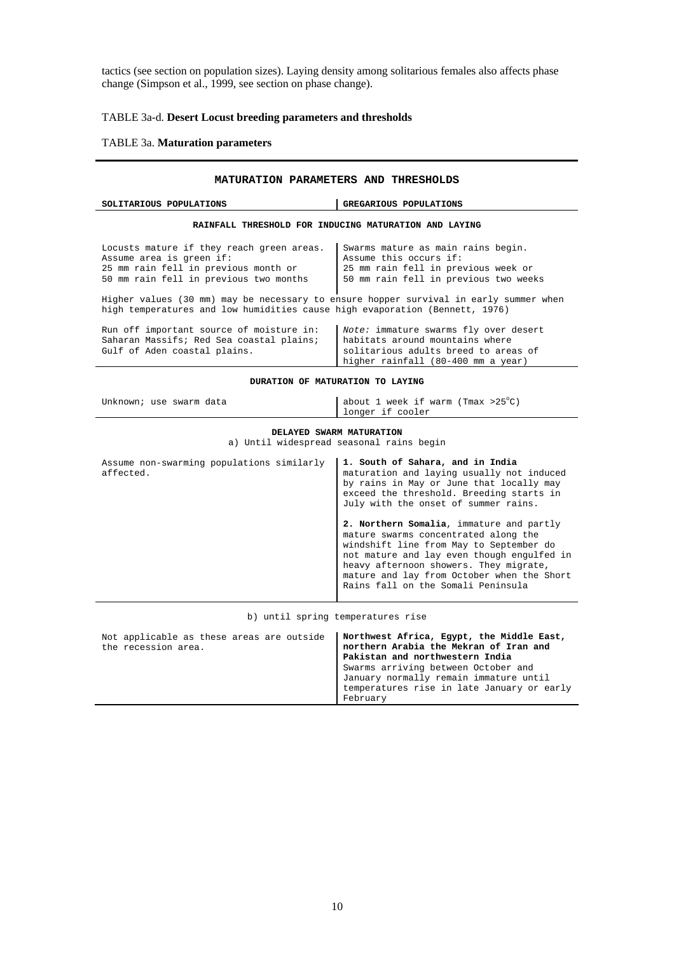tactics (see section on population sizes). Laying density among solitarious females also affects phase change (Simpson et al., 1999, see section on phase change).

## TABLE 3a-d. **Desert Locust breeding parameters and thresholds**

#### TABLE 3a. **Maturation parameters**

### **MATURATION PARAMETERS AND THRESHOLDS**

| GREGARIOUS POPULATIONS<br>SOLITARIOUS POPULATIONS                                                                                                                                                                                                                                                       |                                                                                                                                                        |  |  |  |  |
|---------------------------------------------------------------------------------------------------------------------------------------------------------------------------------------------------------------------------------------------------------------------------------------------------------|--------------------------------------------------------------------------------------------------------------------------------------------------------|--|--|--|--|
| RAINFALL THRESHOLD FOR INDUCING MATURATION AND LAYING                                                                                                                                                                                                                                                   |                                                                                                                                                        |  |  |  |  |
| Locusts mature if they reach green areas.<br>Swarms mature as main rains begin.<br>Assume area is green if:<br>Assume this occurs if:<br>25 mm rain fell in previous month or<br>25 mm rain fell in previous week or<br>50 mm rain fell in previous two months<br>50 mm rain fell in previous two weeks |                                                                                                                                                        |  |  |  |  |
| Higher values (30 mm) may be necessary to ensure hopper survival in early summer when<br>high temperatures and low humidities cause high evaporation (Bennett, 1976)                                                                                                                                    |                                                                                                                                                        |  |  |  |  |
| Run off important source of moisture in:<br>Saharan Massifs; Red Sea coastal plains;<br>Gulf of Aden coastal plains.                                                                                                                                                                                    | Note: immature swarms fly over desert<br>habitats around mountains where<br>solitarious adults breed to areas of<br>higher rainfall (80-400 mm a year) |  |  |  |  |

**DURATION OF MATURATION TO LAYING** 

| Unknown; use swarm data | about 1 week if warm (Tmax >25 $^{\circ}$ C) |
|-------------------------|----------------------------------------------|
|                         | longer if cooler                             |
|                         |                                              |

#### **DELAYED SWARM MATURATION**

a) Until widespread seasonal rains begin

| Assume non-swarming populations similarly<br>affected. | 1. South of Sahara, and in India<br>maturation and laying usually not induced<br>by rains in May or June that locally may<br>exceed the threshold. Breeding starts in<br>July with the onset of summer rains.                                                                                           |  |  |
|--------------------------------------------------------|---------------------------------------------------------------------------------------------------------------------------------------------------------------------------------------------------------------------------------------------------------------------------------------------------------|--|--|
|                                                        | 2. Northern Somalia, immature and partly<br>mature swarms concentrated along the<br>windshift line from May to September do<br>not mature and lay even though engulfed in<br>heavy afternoon showers. They migrate,<br>mature and lay from October when the Short<br>Rains fall on the Somali Peninsula |  |  |

b) until spring temperatures rise

| Not applicable as these areas are outside<br>the recession area. | Northwest Africa, Egypt, the Middle East,<br>northern Arabia the Mekran of Iran and<br>Pakistan and northwestern India |
|------------------------------------------------------------------|------------------------------------------------------------------------------------------------------------------------|
|                                                                  | Swarms arriving between October and                                                                                    |
|                                                                  | January normally remain immature until                                                                                 |
|                                                                  | temperatures rise in late January or early                                                                             |
|                                                                  | February                                                                                                               |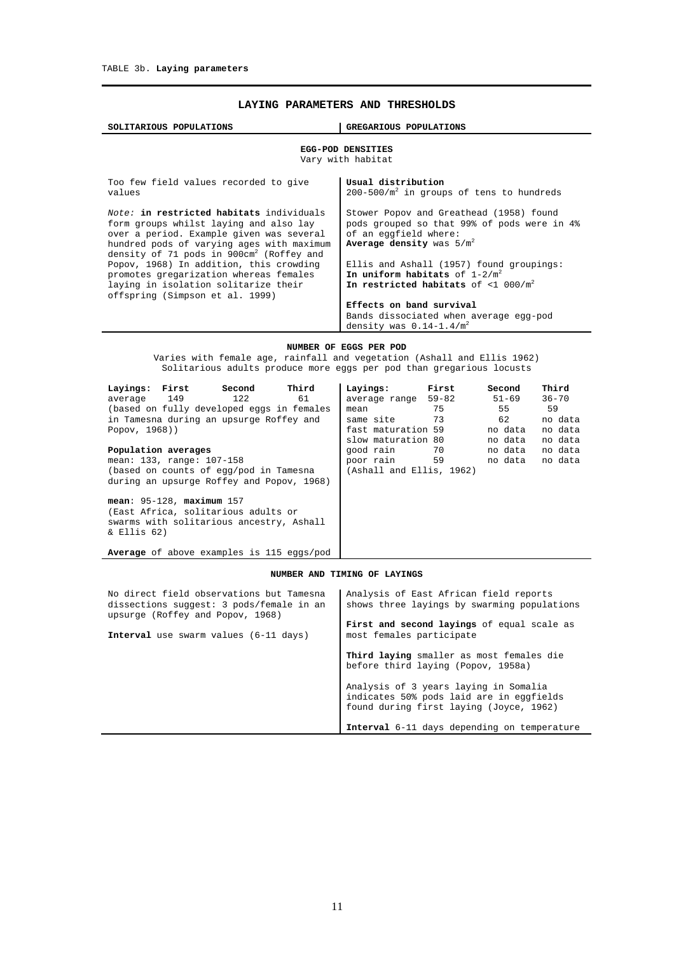## **LAYING PARAMETERS AND THRESHOLDS**

| GREGARIOUS POPULATIONS<br>SOLITARIOUS POPULATIONS                                                                                                                                                                                                                                                                                                                                                  |                                                                                                                                                                                                                                                                                                                                                                               |  |  |  |  |
|----------------------------------------------------------------------------------------------------------------------------------------------------------------------------------------------------------------------------------------------------------------------------------------------------------------------------------------------------------------------------------------------------|-------------------------------------------------------------------------------------------------------------------------------------------------------------------------------------------------------------------------------------------------------------------------------------------------------------------------------------------------------------------------------|--|--|--|--|
| EGG-POD DENSITIES<br>Vary with habitat                                                                                                                                                                                                                                                                                                                                                             |                                                                                                                                                                                                                                                                                                                                                                               |  |  |  |  |
| Too few field values recorded to give<br>values                                                                                                                                                                                                                                                                                                                                                    | Usual distribution<br>$200-500/m^2$ in groups of tens to hundreds                                                                                                                                                                                                                                                                                                             |  |  |  |  |
| Note: in restricted habitats individuals<br>form groups whilst laying and also lay<br>over a period. Example given was several<br>hundred pods of varying ages with maximum<br>density of 71 pods in $900 \text{cm}^2$ (Roffey and<br>Popov, 1968) In addition, this crowding<br>promotes gregarization whereas females<br>laying in isolation solitarize their<br>offspring (Simpson et al. 1999) | Stower Popov and Greathead (1958) found<br>pods grouped so that 99% of pods were in 4%<br>of an eqqfield where:<br>Average density was $5/m^2$<br>Ellis and Ashall (1957) found groupings:<br>In uniform habitats of $1-2/m^2$<br>In restricted habitats of <1 000/ $m^2$<br>Effects on band survival<br>Bands dissociated when average egg-pod<br>density was $0.14-1.4/m^2$ |  |  |  |  |
| NUMBER OF EGGS PER POD                                                                                                                                                                                                                                                                                                                                                                             |                                                                                                                                                                                                                                                                                                                                                                               |  |  |  |  |

Varies with female age, rainfall and vegetation (Ashall and Ellis 1962) Solitarious adults produce more eggs per pod than gregarious locusts

| Third<br>Layings: First<br>Second<br>average 149<br>122<br>61                                                                    | First<br>Layings:<br>average range 59-82                    | Second<br>$51 - 69$ | Third<br>$36 - 70$ |
|----------------------------------------------------------------------------------------------------------------------------------|-------------------------------------------------------------|---------------------|--------------------|
| (based on fully developed eqqs in females<br>in Tamesna during an upsurge Roffey and                                             | 75<br>mean<br>same site 73                                  | 55<br>62            | 59<br>no data      |
| Popov, 1968))                                                                                                                    | fast maturation 59<br>slow maturation 80                    | no data<br>no data  | no data<br>no data |
| Population averages<br>mean: 133, range: 107-158<br>(based on counts of egg/pod in Tamesna                                       | qood rain 70<br>59<br>poor rain<br>(Ashall and Ellis, 1962) | no data<br>no data  | no data<br>no data |
| during an upsurge Roffey and Popov, 1968)                                                                                        |                                                             |                     |                    |
| $mean: 95-128$ , $maximum 157$<br>(East Africa, solitarious adults or<br>swarms with solitarious ancestry, Ashall<br>& Ellis 62) |                                                             |                     |                    |
| Average of above examples is 115 eqgs/pod                                                                                        |                                                             |                     |                    |

#### **NUMBER AND TIMING OF LAYINGS**

| No direct field observations but Tamesna<br>dissections suggest: 3 pods/female in an<br>upsurge (Roffey and Popov, 1968) | Analysis of East African field reports<br>shows three layings by swarming populations                                        |
|--------------------------------------------------------------------------------------------------------------------------|------------------------------------------------------------------------------------------------------------------------------|
| <b>Interval</b> use swarm values (6-11 days)                                                                             | First and second layings of equal scale as<br>most females participate                                                       |
|                                                                                                                          | Third laying smaller as most females die<br>before third laying (Popov, 1958a)                                               |
|                                                                                                                          | Analysis of 3 years laying in Somalia<br>indicates 50% pods laid are in eqqfields<br>found during first laying (Joyce, 1962) |
|                                                                                                                          | Interval 6-11 days depending on temperature                                                                                  |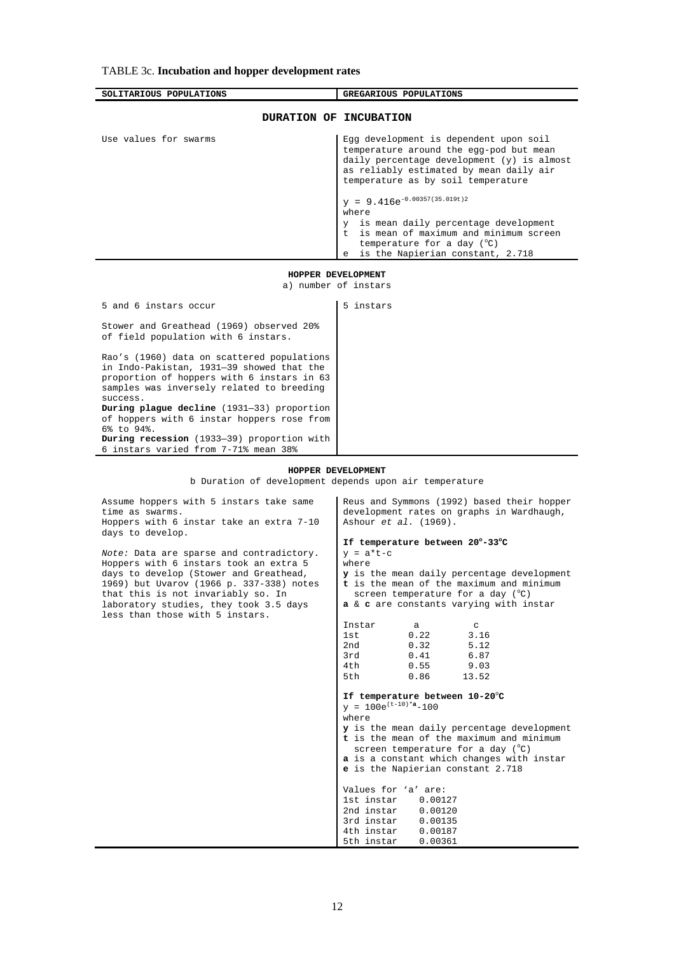## TABLE 3c. **Incubation and hopper development rates**

samples was inversely related to breeding

**During plague decline** (1931—33) proportion of hoppers with 6 instar hoppers rose from

**During recession** (1933—39) proportion with 6 instars varied from 7-71% mean 38%

success.

6% to 94%.

| SOLITARIOUS POPULATIONS                                                                                                               | GREGARIOUS POPULATIONS                                                                                                                                                                                           |  |  |
|---------------------------------------------------------------------------------------------------------------------------------------|------------------------------------------------------------------------------------------------------------------------------------------------------------------------------------------------------------------|--|--|
| DURATION OF INCUBATION                                                                                                                |                                                                                                                                                                                                                  |  |  |
| Use values for swarms                                                                                                                 | Egg development is dependent upon soil<br>temperature around the egg-pod but mean<br>daily percentage development (y) is almost<br>as reliably estimated by mean daily air<br>temperature as by soil temperature |  |  |
|                                                                                                                                       | $y = 9.416e^{-0.00357(35.019t)2}$<br>where                                                                                                                                                                       |  |  |
|                                                                                                                                       | is mean daily percentage development<br>$\vee$<br>t is mean of maximum and minimum screen<br>temperature for a day $(°C)$<br>is the Napierian constant, 2.718<br>$\epsilon$                                      |  |  |
| HOPPER DEVELOPMENT                                                                                                                    |                                                                                                                                                                                                                  |  |  |
| a) number of instars                                                                                                                  |                                                                                                                                                                                                                  |  |  |
| 5 and 6 instars occur                                                                                                                 | 5 instars                                                                                                                                                                                                        |  |  |
| Stower and Greathead (1969) observed 20%<br>of field population with 6 instars.                                                       |                                                                                                                                                                                                                  |  |  |
| Rao's (1960) data on scattered populations<br>in Indo-Pakistan, 1931-39 showed that the<br>proportion of hoppers with 6 instars in 63 |                                                                                                                                                                                                                  |  |  |

## **HOPPER DEVELOPMENT**

b Duration of development depends upon air temperature

| Assume hoppers with 5 instars take same<br>time as swarms.<br>Hoppers with 6 instar take an extra 7-10<br>days to develop.                                                                                                                                                                  | Reus and Symmons (1992) based their hopper<br>development rates on graphs in Wardhaugh,<br>Ashour et al. (1969).                                                                                                                                                                                                                                                                                                                                                                                                                                                                                        |  |  |  |  |
|---------------------------------------------------------------------------------------------------------------------------------------------------------------------------------------------------------------------------------------------------------------------------------------------|---------------------------------------------------------------------------------------------------------------------------------------------------------------------------------------------------------------------------------------------------------------------------------------------------------------------------------------------------------------------------------------------------------------------------------------------------------------------------------------------------------------------------------------------------------------------------------------------------------|--|--|--|--|
| Note: Data are sparse and contradictory.<br>Hoppers with 6 instars took an extra 5<br>days to develop (Stower and Greathead,<br>1969) but Uvarov (1966 p. 337-338) notes<br>that this is not invariably so. In<br>laboratory studies, they took 3.5 days<br>less than those with 5 instars. | If temperature between 20°-33°C<br>$v = a*t-c$<br>where<br>y is the mean daily percentage development<br>t is the mean of the maximum and minimum<br>screen temperature for a day $(^\circ \mathbb{C})$<br><b>a</b> & <b>c</b> are constants varying with instar                                                                                                                                                                                                                                                                                                                                        |  |  |  |  |
|                                                                                                                                                                                                                                                                                             | Instar<br>a<br>C<br>0.22<br>1st<br>3.16<br>2nd<br>0.32<br>5.12<br>0.41<br>6.87<br>3rd -<br>4th<br>0.55<br>9.03<br>5th<br>0.86<br>13.52<br>If temperature between 10-20°C<br>$y = 100e^{(t-10)*a} - 100$<br>where<br>y is the mean daily percentage development<br>t is the mean of the maximum and minimum<br>screen temperature for a day $(^\circ \mathbb{C})$<br>a is a constant which changes with instar<br><b>e</b> is the Napierian constant 2.718<br>Values for 'a' are:<br>1st instar 0.00127<br>2nd instar 0.00120<br>3rd instar<br>0.00135<br>4th instar<br>0.00187<br>5th instar<br>0.00361 |  |  |  |  |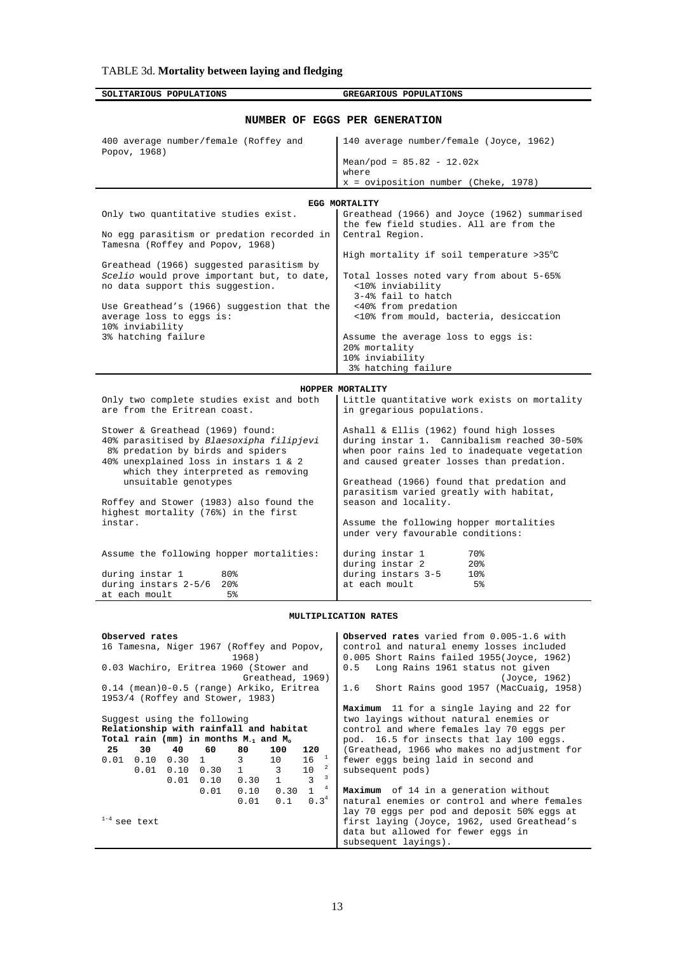**SOLITARIOUS POPULATIONS GREGARIOUS POPULATIONS** 

| NUMBER OF EGGS PER GENERATION                                                  |                                                                                        |  |  |  |
|--------------------------------------------------------------------------------|----------------------------------------------------------------------------------------|--|--|--|
| 400 average number/female (Roffey and<br>Popov, 1968)                          | 140 average number/female (Joyce, 1962)                                                |  |  |  |
|                                                                                | Mean/pod = $85.82 - 12.02x$                                                            |  |  |  |
|                                                                                | where                                                                                  |  |  |  |
|                                                                                | $x =$ oviposition number (Cheke, 1978)                                                 |  |  |  |
|                                                                                | EGG MORTALITY                                                                          |  |  |  |
| Only two quantitative studies exist.                                           | Greathead (1966) and Joyce (1962) summarised                                           |  |  |  |
|                                                                                | the few field studies. All are from the<br>Central Region.                             |  |  |  |
| No egg parasitism or predation recorded in<br>Tamesna (Roffey and Popov, 1968) |                                                                                        |  |  |  |
|                                                                                | High mortality if soil temperature $>35^{\circ}$ C                                     |  |  |  |
| Greathead (1966) suggested parasitism by                                       |                                                                                        |  |  |  |
| Scelio would prove important but, to date,<br>no data support this suggestion. | Total losses noted vary from about 5-65%<br><10% inviability                           |  |  |  |
|                                                                                | 3-4% fail to hatch                                                                     |  |  |  |
| Use Greathead's (1966) suggestion that the                                     | <40% from predation                                                                    |  |  |  |
| average loss to eggs is:                                                       | <10% from mould, bacteria, desiccation                                                 |  |  |  |
| 10% inviability<br>3% hatching failure                                         | Assume the average loss to eggs is:                                                    |  |  |  |
|                                                                                | 20% mortality                                                                          |  |  |  |
|                                                                                | 10% inviability                                                                        |  |  |  |
|                                                                                | 3% hatching failure                                                                    |  |  |  |
|                                                                                | HOPPER MORTALITY                                                                       |  |  |  |
| Only two complete studies exist and both                                       | Little quantitative work exists on mortality                                           |  |  |  |
| are from the Eritrean coast.                                                   | in gregarious populations.                                                             |  |  |  |
|                                                                                |                                                                                        |  |  |  |
| Stower & Greathead (1969) found:<br>40% parasitised by Blaesoxipha filipjevi   | Ashall & Ellis (1962) found high losses<br>during instar 1. Cannibalism reached 30-50% |  |  |  |
| 8% predation by birds and spiders                                              | when poor rains led to inadequate vegetation                                           |  |  |  |
| 40% unexplained loss in instars 1 & 2                                          | and caused greater losses than predation.                                              |  |  |  |
| which they interpreted as removing                                             |                                                                                        |  |  |  |
| unsuitable genotypes                                                           | Greathead (1966) found that predation and<br>parasitism varied greatly with habitat,   |  |  |  |
| Roffey and Stower (1983) also found the                                        | season and locality.                                                                   |  |  |  |
| highest mortality (76%) in the first                                           |                                                                                        |  |  |  |
| instar.                                                                        | Assume the following hopper mortalities                                                |  |  |  |
|                                                                                | under very favourable conditions:                                                      |  |  |  |
| Assume the following hopper mortalities:                                       | during instar 1<br>70%                                                                 |  |  |  |
|                                                                                | during instar 2<br>20 <sub>8</sub>                                                     |  |  |  |
| during instar 1<br>80%                                                         | during instars 3-5<br>10 <sub>8</sub>                                                  |  |  |  |
| during instars 2-5/6<br>20 <sub>8</sub><br>at each moult<br>5%                 | at each moult<br>5%                                                                    |  |  |  |
|                                                                                |                                                                                        |  |  |  |

#### **MULTIPLICATION RATES**

| Observed rates<br>16 Tamesna, Niger 1967 (Roffey and Popov,<br>1968)<br>0.03 Wachiro, Eritrea 1960 (Stower and<br>Greathead, 1969)<br>0.14 (mean)0-0.5 (range) Arkiko, Eritrea                                                                                                                                                     | Observed rates varied from 0.005-1.6 with<br>control and natural enemy losses included<br>0.005 Short Rains failed 1955(Joyce, 1962)<br>Long Rains 1961 status not given<br>0.5<br>(Joyce, 1962)<br>Short Rains good 1957 (MacCuaig, 1958)<br>1.6        |  |  |  |
|------------------------------------------------------------------------------------------------------------------------------------------------------------------------------------------------------------------------------------------------------------------------------------------------------------------------------------|----------------------------------------------------------------------------------------------------------------------------------------------------------------------------------------------------------------------------------------------------------|--|--|--|
| 1953/4 (Roffey and Stower, 1983)                                                                                                                                                                                                                                                                                                   | Maximum 11 for a single laying and 22 for                                                                                                                                                                                                                |  |  |  |
| Suggest using the following<br>Relationship with rainfall and habitat<br>Total rain (mm) in months $M_{-1}$ and $M_{0}$<br>25<br>30<br>40<br>60<br>120<br>80<br>100<br>$16^{1}$<br>3<br>$0.10 \quad 0.30 \quad 1$<br>10<br>0.01<br>$1 \qquad \qquad 3$<br>10<br>0.01<br>$0.10 \quad 0.30$<br>3<br>$\sim$ 1<br>0.30<br>0.01<br>0.10 | two layings without natural enemies or<br>control and where females lay 70 eqqs per<br>pod. 16.5 for insects that lay 100 eqqs.<br>(Greathead, 1966 who makes no adjustment for<br>fewer eggs being laid in second and<br>2<br>subsequent pods)<br>3     |  |  |  |
| $\overline{4}$<br>$\mathbf{1}$<br>0.30<br>0.10<br>0.01<br>0.3 <sup>4</sup><br>$0.01 \ 0.1$<br>$1-4$ see text                                                                                                                                                                                                                       | <b>Maximum</b> of 14 in a generation without<br>natural enemies or control and where females<br>lay 70 eggs per pod and deposit 50% eggs at<br>first laying (Joyce, 1962, used Greathead's<br>data but allowed for fewer eggs in<br>subsequent layings). |  |  |  |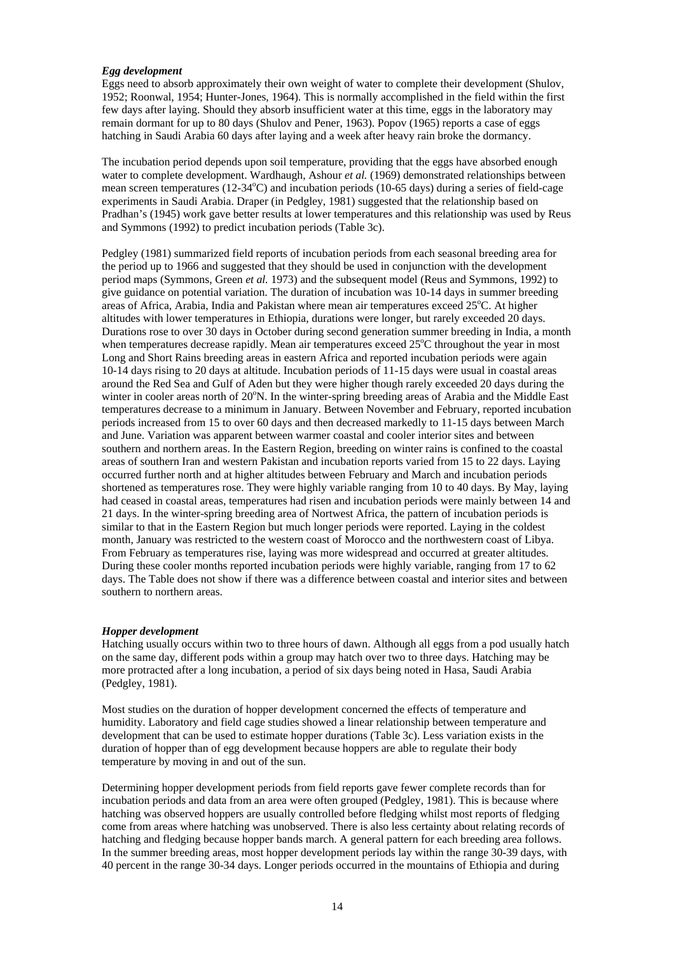### *Egg development*

Eggs need to absorb approximately their own weight of water to complete their development (Shulov, 1952; Roonwal, 1954; Hunter-Jones, 1964). This is normally accomplished in the field within the first few days after laying. Should they absorb insufficient water at this time, eggs in the laboratory may remain dormant for up to 80 days (Shulov and Pener, 1963). Popov (1965) reports a case of eggs hatching in Saudi Arabia 60 days after laying and a week after heavy rain broke the dormancy.

The incubation period depends upon soil temperature, providing that the eggs have absorbed enough water to complete development. Wardhaugh, Ashour *et al.* (1969) demonstrated relationships between mean screen temperatures (12-34°C) and incubation periods (10-65 days) during a series of field-cage experiments in Saudi Arabia. Draper (in Pedgley, 1981) suggested that the relationship based on Pradhan's (1945) work gave better results at lower temperatures and this relationship was used by Reus and Symmons (1992) to predict incubation periods (Table 3c).

Pedgley (1981) summarized field reports of incubation periods from each seasonal breeding area for the period up to 1966 and suggested that they should be used in conjunction with the development period maps (Symmons, Green *et al.* 1973) and the subsequent model (Reus and Symmons, 1992) to give guidance on potential variation. The duration of incubation was 10-14 days in summer breeding areas of Africa, Arabia, India and Pakistan where mean air temperatures exceed 25°C. At higher altitudes with lower temperatures in Ethiopia, durations were longer, but rarely exceeded 20 days. Durations rose to over 30 days in October during second generation summer breeding in India, a month when temperatures decrease rapidly. Mean air temperatures exceed 25°C throughout the year in most Long and Short Rains breeding areas in eastern Africa and reported incubation periods were again 10-14 days rising to 20 days at altitude. Incubation periods of 11-15 days were usual in coastal areas around the Red Sea and Gulf of Aden but they were higher though rarely exceeded 20 days during the winter in cooler areas north of 20°N. In the winter-spring breeding areas of Arabia and the Middle East temperatures decrease to a minimum in January. Between November and February, reported incubation periods increased from 15 to over 60 days and then decreased markedly to 11-15 days between March and June. Variation was apparent between warmer coastal and cooler interior sites and between southern and northern areas. In the Eastern Region, breeding on winter rains is confined to the coastal areas of southern Iran and western Pakistan and incubation reports varied from 15 to 22 days. Laying occurred further north and at higher altitudes between February and March and incubation periods shortened as temperatures rose. They were highly variable ranging from 10 to 40 days. By May, laying had ceased in coastal areas, temperatures had risen and incubation periods were mainly between 14 and 21 days. In the winter-spring breeding area of Nortwest Africa, the pattern of incubation periods is similar to that in the Eastern Region but much longer periods were reported. Laying in the coldest month, January was restricted to the western coast of Morocco and the northwestern coast of Libya. From February as temperatures rise, laying was more widespread and occurred at greater altitudes. During these cooler months reported incubation periods were highly variable, ranging from 17 to 62 days. The Table does not show if there was a difference between coastal and interior sites and between southern to northern areas.

#### *Hopper development*

Hatching usually occurs within two to three hours of dawn. Although all eggs from a pod usually hatch on the same day, different pods within a group may hatch over two to three days. Hatching may be more protracted after a long incubation, a period of six days being noted in Hasa, Saudi Arabia (Pedgley, 1981).

Most studies on the duration of hopper development concerned the effects of temperature and humidity. Laboratory and field cage studies showed a linear relationship between temperature and development that can be used to estimate hopper durations (Table 3c). Less variation exists in the duration of hopper than of egg development because hoppers are able to regulate their body temperature by moving in and out of the sun.

Determining hopper development periods from field reports gave fewer complete records than for incubation periods and data from an area were often grouped (Pedgley, 1981). This is because where hatching was observed hoppers are usually controlled before fledging whilst most reports of fledging come from areas where hatching was unobserved. There is also less certainty about relating records of hatching and fledging because hopper bands march. A general pattern for each breeding area follows. In the summer breeding areas, most hopper development periods lay within the range 30-39 days, with 40 percent in the range 30-34 days. Longer periods occurred in the mountains of Ethiopia and during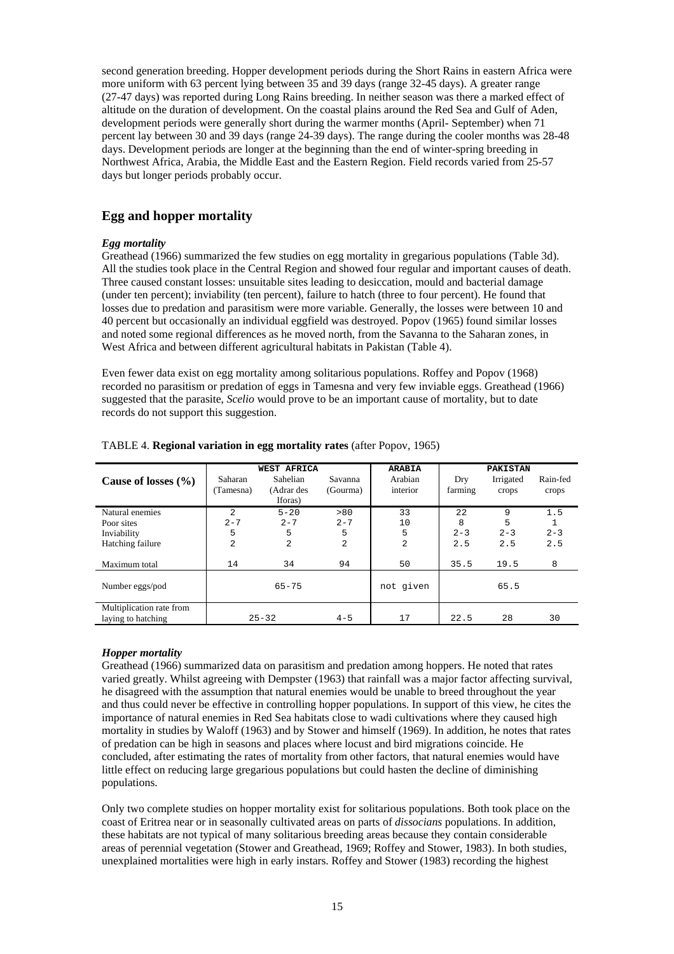second generation breeding. Hopper development periods during the Short Rains in eastern Africa were more uniform with 63 percent lying between 35 and 39 days (range 32-45 days). A greater range (27-47 days) was reported during Long Rains breeding. In neither season was there a marked effect of altitude on the duration of development. On the coastal plains around the Red Sea and Gulf of Aden, development periods were generally short during the warmer months (April- September) when 71 percent lay between 30 and 39 days (range 24-39 days). The range during the cooler months was 28-48 days. Development periods are longer at the beginning than the end of winter-spring breeding in Northwest Africa, Arabia, the Middle East and the Eastern Region. Field records varied from 25-57 days but longer periods probably occur.

## **Egg and hopper mortality**

### *Egg mortality*

Greathead (1966) summarized the few studies on egg mortality in gregarious populations (Table 3d). All the studies took place in the Central Region and showed four regular and important causes of death. Three caused constant losses: unsuitable sites leading to desiccation, mould and bacterial damage (under ten percent); inviability (ten percent), failure to hatch (three to four percent). He found that losses due to predation and parasitism were more variable. Generally, the losses were between 10 and 40 percent but occasionally an individual eggfield was destroyed. Popov (1965) found similar losses and noted some regional differences as he moved north, from the Savanna to the Saharan zones, in West Africa and between different agricultural habitats in Pakistan (Table 4).

Even fewer data exist on egg mortality among solitarious populations. Roffey and Popov (1968) recorded no parasitism or predation of eggs in Tamesna and very few inviable eggs. Greathead (1966) suggested that the parasite, *Scelio* would prove to be an important cause of mortality, but to date records do not support this suggestion.

| Cause of losses $(\% )$                        | Saharan<br>(Tamesna) | <b>WEST AFRICA</b><br><b>Sahelian</b><br>(Adrar des<br>Iforas) | Savanna<br>(Gourma) | <b>ARABIA</b><br>Arabian<br>interior | Drv<br>farming | <b>PAKISTAN</b><br>Irrigated<br>crops | Rain-fed<br>crops |
|------------------------------------------------|----------------------|----------------------------------------------------------------|---------------------|--------------------------------------|----------------|---------------------------------------|-------------------|
| Natural enemies                                | $\overline{2}$       | $5 - 20$                                                       | > 80                | 33                                   | 2.2            | 9                                     | 1.5               |
| Poor sites                                     | $2 - 7$              | $2 - 7$                                                        | $2 - 7$             | 10                                   | 8              | 5                                     |                   |
| Inviability                                    | 5                    | 5                                                              | 5                   | 5                                    | $2 - 3$        | $2 - 3$                               | $2 - 3$           |
| Hatching failure                               | $\overline{2}$       | $\overline{a}$                                                 | $\overline{2}$      | 2                                    | 2.5            | 2.5                                   | 2.5               |
| Maximum total                                  | 14                   | 34                                                             | 94                  | 50                                   | 35.5           | 19.5                                  | 8                 |
| Number eggs/pod                                |                      | $65 - 75$                                                      |                     | not given                            |                | 65.5                                  |                   |
| Multiplication rate from<br>laying to hatching |                      | $25 - 32$                                                      | $4 - 5$             | 17                                   | 22.5           | 28                                    | 30                |

### TABLE 4. **Regional variation in egg mortality rates** (after Popov, 1965)

### *Hopper mortality*

Greathead (1966) summarized data on parasitism and predation among hoppers. He noted that rates varied greatly. Whilst agreeing with Dempster (1963) that rainfall was a major factor affecting survival, he disagreed with the assumption that natural enemies would be unable to breed throughout the year and thus could never be effective in controlling hopper populations. In support of this view, he cites the importance of natural enemies in Red Sea habitats close to wadi cultivations where they caused high mortality in studies by Waloff (1963) and by Stower and himself (1969). In addition, he notes that rates of predation can be high in seasons and places where locust and bird migrations coincide. He concluded, after estimating the rates of mortality from other factors, that natural enemies would have little effect on reducing large gregarious populations but could hasten the decline of diminishing populations.

Only two complete studies on hopper mortality exist for solitarious populations. Both took place on the coast of Eritrea near or in seasonally cultivated areas on parts of *dissocians* populations. In addition, these habitats are not typical of many solitarious breeding areas because they contain considerable areas of perennial vegetation (Stower and Greathead, 1969; Roffey and Stower, 1983). In both studies, unexplained mortalities were high in early instars. Roffey and Stower (1983) recording the highest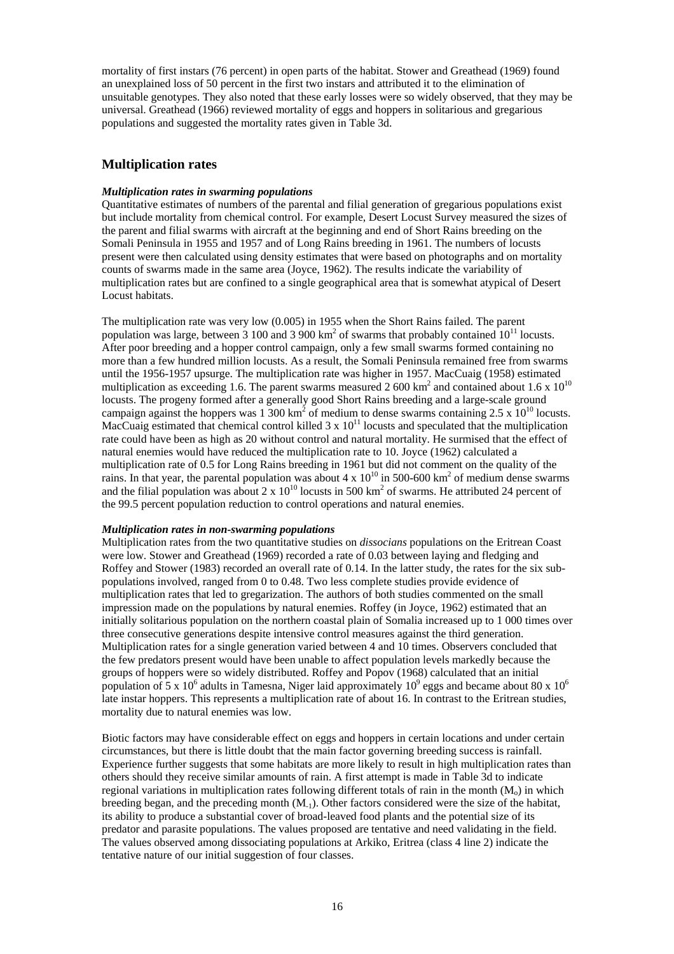mortality of first instars (76 percent) in open parts of the habitat. Stower and Greathead (1969) found an unexplained loss of 50 percent in the first two instars and attributed it to the elimination of unsuitable genotypes. They also noted that these early losses were so widely observed, that they may be universal. Greathead (1966) reviewed mortality of eggs and hoppers in solitarious and gregarious populations and suggested the mortality rates given in Table 3d.

## **Multiplication rates**

### *Multiplication rates in swarming populations*

Quantitative estimates of numbers of the parental and filial generation of gregarious populations exist but include mortality from chemical control. For example, Desert Locust Survey measured the sizes of the parent and filial swarms with aircraft at the beginning and end of Short Rains breeding on the Somali Peninsula in 1955 and 1957 and of Long Rains breeding in 1961. The numbers of locusts present were then calculated using density estimates that were based on photographs and on mortality counts of swarms made in the same area (Joyce, 1962). The results indicate the variability of multiplication rates but are confined to a single geographical area that is somewhat atypical of Desert Locust habitats.

The multiplication rate was very low (0.005) in 1955 when the Short Rains failed. The parent population was large, between 3 100 and 3 900  $\text{km}^2$  of swarms that probably contained  $10^{11}$  locusts. After poor breeding and a hopper control campaign, only a few small swarms formed containing no more than a few hundred million locusts. As a result, the Somali Peninsula remained free from swarms until the 1956-1957 upsurge. The multiplication rate was higher in 1957. MacCuaig (1958) estimated multiplication as exceeding 1.6. The parent swarms measured 2 600 km<sup>2</sup> and contained about 1.6 x  $10^{10}$ locusts. The progeny formed after a generally good Short Rains breeding and a large-scale ground campaign against the hoppers was 1 300 km<sup>2</sup> of medium to dense swarms containing 2.5 x  $10^{10}$  locusts. MacCuaig estimated that chemical control killed  $3 \times 10^{11}$  locusts and speculated that the multiplication rate could have been as high as 20 without control and natural mortality. He surmised that the effect of natural enemies would have reduced the multiplication rate to 10. Joyce (1962) calculated a multiplication rate of 0.5 for Long Rains breeding in 1961 but did not comment on the quality of the rains. In that year, the parental population was about 4 x  $10^{10}$  in 500-600 km<sup>2</sup> of medium dense swarms and the filial population was about 2 x  $10^{10}$  locusts in 500 km<sup>2</sup> of swarms. He attributed 24 percent of the 99.5 percent population reduction to control operations and natural enemies.

#### *Multiplication rates in non-swarming populations*

Multiplication rates from the two quantitative studies on *dissocians* populations on the Eritrean Coast were low. Stower and Greathead (1969) recorded a rate of 0.03 between laying and fledging and Roffey and Stower (1983) recorded an overall rate of 0.14. In the latter study, the rates for the six subpopulations involved, ranged from 0 to 0.48. Two less complete studies provide evidence of multiplication rates that led to gregarization. The authors of both studies commented on the small impression made on the populations by natural enemies. Roffey (in Joyce, 1962) estimated that an initially solitarious population on the northern coastal plain of Somalia increased up to 1 000 times over three consecutive generations despite intensive control measures against the third generation. Multiplication rates for a single generation varied between 4 and 10 times. Observers concluded that the few predators present would have been unable to affect population levels markedly because the groups of hoppers were so widely distributed. Roffey and Popov (1968) calculated that an initial population of 5 x 10<sup>6</sup> adults in Tamesna, Niger laid approximately 10<sup>9</sup> eggs and became about 80 x 10<sup>6</sup> late instar hoppers. This represents a multiplication rate of about 16. In contrast to the Eritrean studies, mortality due to natural enemies was low.

Biotic factors may have considerable effect on eggs and hoppers in certain locations and under certain circumstances, but there is little doubt that the main factor governing breeding success is rainfall. Experience further suggests that some habitats are more likely to result in high multiplication rates than others should they receive similar amounts of rain. A first attempt is made in Table 3d to indicate regional variations in multiplication rates following different totals of rain in the month  $(M_0)$  in which breeding began, and the preceding month  $(M_{-1})$ . Other factors considered were the size of the habitat, its ability to produce a substantial cover of broad-leaved food plants and the potential size of its predator and parasite populations. The values proposed are tentative and need validating in the field. The values observed among dissociating populations at Arkiko, Eritrea (class 4 line 2) indicate the tentative nature of our initial suggestion of four classes.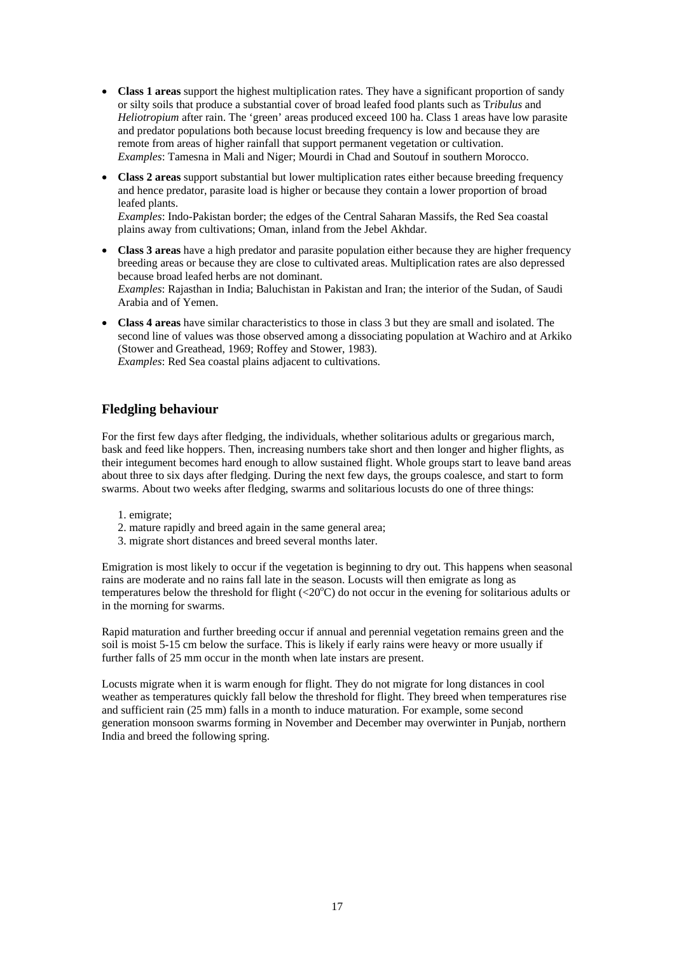- **Class 1 areas** support the highest multiplication rates. They have a significant proportion of sandy or silty soils that produce a substantial cover of broad leafed food plants such as T*ribulus* and *Heliotropium* after rain. The 'green' areas produced exceed 100 ha. Class 1 areas have low parasite and predator populations both because locust breeding frequency is low and because they are remote from areas of higher rainfall that support permanent vegetation or cultivation. *Examples*: Tamesna in Mali and Niger; Mourdi in Chad and Soutouf in southern Morocco.
- **Class 2 areas** support substantial but lower multiplication rates either because breeding frequency and hence predator, parasite load is higher or because they contain a lower proportion of broad leafed plants.

*Examples*: Indo-Pakistan border; the edges of the Central Saharan Massifs, the Red Sea coastal plains away from cultivations; Oman, inland from the Jebel Akhdar.

- **Class 3 areas** have a high predator and parasite population either because they are higher frequency breeding areas or because they are close to cultivated areas. Multiplication rates are also depressed because broad leafed herbs are not dominant. *Examples*: Rajasthan in India; Baluchistan in Pakistan and Iran; the interior of the Sudan, of Saudi Arabia and of Yemen.
- **Class 4 areas** have similar characteristics to those in class 3 but they are small and isolated. The second line of values was those observed among a dissociating population at Wachiro and at Arkiko (Stower and Greathead, 1969; Roffey and Stower, 1983). *Examples*: Red Sea coastal plains adjacent to cultivations.

## **Fledgling behaviour**

For the first few days after fledging, the individuals, whether solitarious adults or gregarious march, bask and feed like hoppers. Then, increasing numbers take short and then longer and higher flights, as their integument becomes hard enough to allow sustained flight. Whole groups start to leave band areas about three to six days after fledging. During the next few days, the groups coalesce, and start to form swarms. About two weeks after fledging, swarms and solitarious locusts do one of three things:

- 1. emigrate;
- 2. mature rapidly and breed again in the same general area;
- 3. migrate short distances and breed several months later.

Emigration is most likely to occur if the vegetation is beginning to dry out. This happens when seasonal rains are moderate and no rains fall late in the season. Locusts will then emigrate as long as temperatures below the threshold for flight  $(<20^{\circ}$ C) do not occur in the evening for solitarious adults or in the morning for swarms.

Rapid maturation and further breeding occur if annual and perennial vegetation remains green and the soil is moist 5-15 cm below the surface. This is likely if early rains were heavy or more usually if further falls of 25 mm occur in the month when late instars are present.

Locusts migrate when it is warm enough for flight. They do not migrate for long distances in cool weather as temperatures quickly fall below the threshold for flight. They breed when temperatures rise and sufficient rain (25 mm) falls in a month to induce maturation. For example, some second generation monsoon swarms forming in November and December may overwinter in Punjab, northern India and breed the following spring.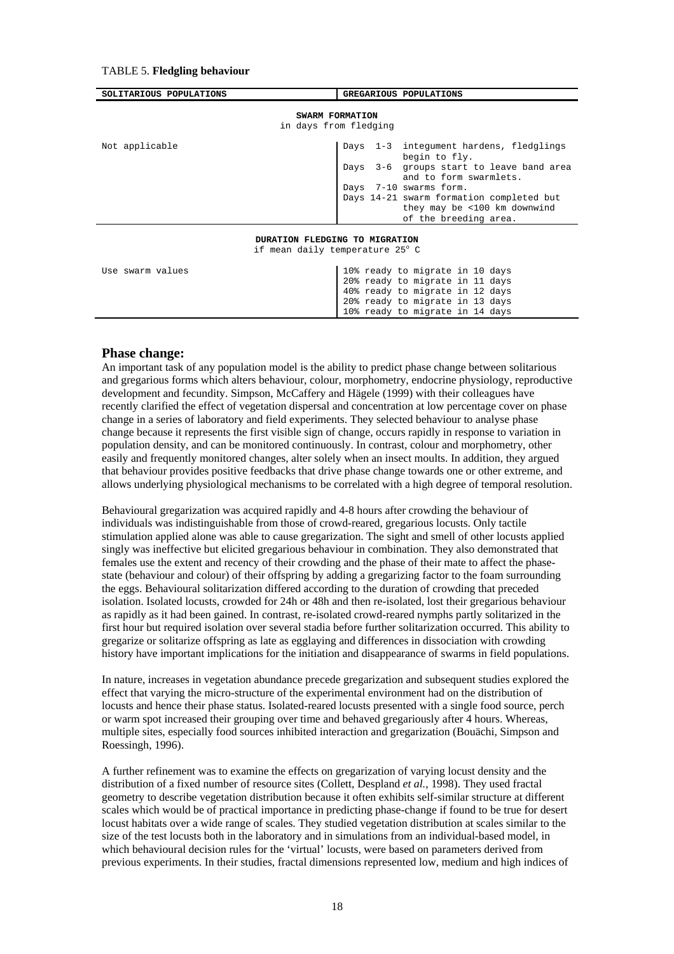#### TABLE 5. **Fledgling behaviour**

| SOLITARIOUS POPULATIONS                                                               | GREGARIOUS POPULATIONS                                                                                                                                                                                                                                           |
|---------------------------------------------------------------------------------------|------------------------------------------------------------------------------------------------------------------------------------------------------------------------------------------------------------------------------------------------------------------|
| SWARM FORMATION<br>in days from fledging                                              |                                                                                                                                                                                                                                                                  |
| Not applicable                                                                        | 1-3 integument hardens, fledglings<br>Days<br>begin to fly.<br>Days 3-6 groups start to leave band area<br>and to form swarmlets.<br>Days 7-10 swarms form.<br>Days 14-21 swarm formation completed but<br>they may be <100 km downwind<br>of the breeding area. |
| DURATION FLEDGING TO MIGRATION<br>if mean daily temperature 25° C<br>Use swarm values | 10% ready to migrate in 10 days<br>20% ready to migrate in 11 days<br>40% ready to migrate in 12 days<br>20% ready to migrate in 13 days                                                                                                                         |

### **Phase change:**

An important task of any population model is the ability to predict phase change between solitarious and gregarious forms which alters behaviour, colour, morphometry, endocrine physiology, reproductive development and fecundity. Simpson, McCaffery and Hägele (1999) with their colleagues have recently clarified the effect of vegetation dispersal and concentration at low percentage cover on phase change in a series of laboratory and field experiments. They selected behaviour to analyse phase change because it represents the first visible sign of change, occurs rapidly in response to variation in population density, and can be monitored continuously. In contrast, colour and morphometry, other easily and frequently monitored changes, alter solely when an insect moults. In addition, they argued that behaviour provides positive feedbacks that drive phase change towards one or other extreme, and allows underlying physiological mechanisms to be correlated with a high degree of temporal resolution.

10% ready to migrate in 14 days

Behavioural gregarization was acquired rapidly and 4-8 hours after crowding the behaviour of individuals was indistinguishable from those of crowd-reared, gregarious locusts. Only tactile stimulation applied alone was able to cause gregarization. The sight and smell of other locusts applied singly was ineffective but elicited gregarious behaviour in combination. They also demonstrated that females use the extent and recency of their crowding and the phase of their mate to affect the phasestate (behaviour and colour) of their offspring by adding a gregarizing factor to the foam surrounding the eggs. Behavioural solitarization differed according to the duration of crowding that preceded isolation. Isolated locusts, crowded for 24h or 48h and then re-isolated, lost their gregarious behaviour as rapidly as it had been gained. In contrast, re-isolated crowd-reared nymphs partly solitarized in the first hour but required isolation over several stadia before further solitarization occurred. This ability to gregarize or solitarize offspring as late as egglaying and differences in dissociation with crowding history have important implications for the initiation and disappearance of swarms in field populations.

In nature, increases in vegetation abundance precede gregarization and subsequent studies explored the effect that varying the micro-structure of the experimental environment had on the distribution of locusts and hence their phase status. Isolated-reared locusts presented with a single food source, perch or warm spot increased their grouping over time and behaved gregariously after 4 hours. Whereas, multiple sites, especially food sources inhibited interaction and gregarization (Bouächi, Simpson and Roessingh, 1996).

A further refinement was to examine the effects on gregarization of varying locust density and the distribution of a fixed number of resource sites (Collett, Despland *et al.*, 1998). They used fractal geometry to describe vegetation distribution because it often exhibits self-similar structure at different scales which would be of practical importance in predicting phase-change if found to be true for desert locust habitats over a wide range of scales. They studied vegetation distribution at scales similar to the size of the test locusts both in the laboratory and in simulations from an individual-based model, in which behavioural decision rules for the 'virtual' locusts, were based on parameters derived from previous experiments. In their studies, fractal dimensions represented low, medium and high indices of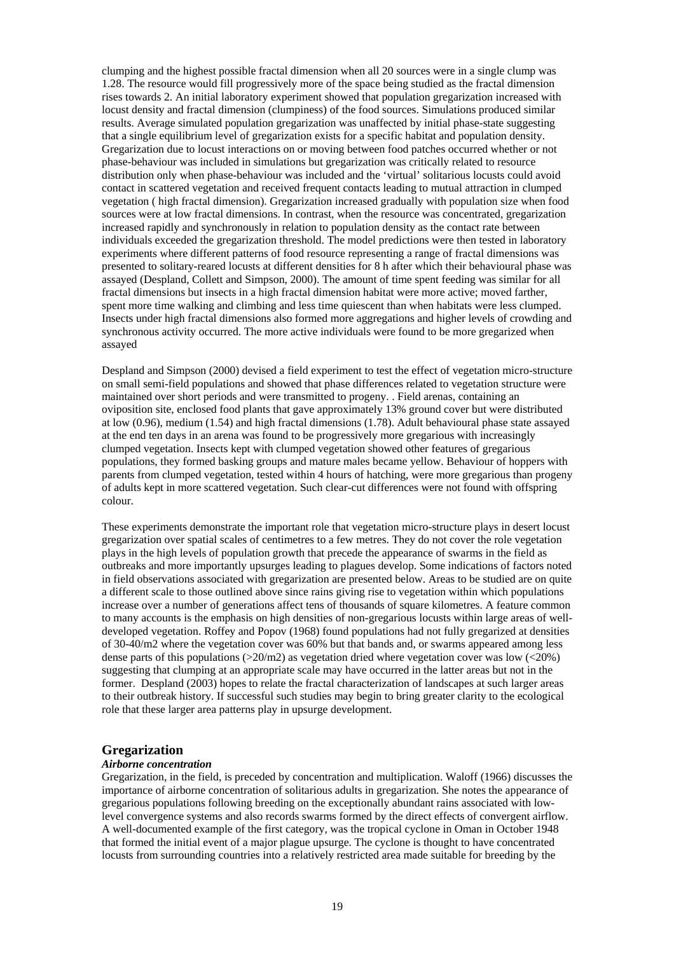clumping and the highest possible fractal dimension when all 20 sources were in a single clump was 1.28. The resource would fill progressively more of the space being studied as the fractal dimension rises towards 2. An initial laboratory experiment showed that population gregarization increased with locust density and fractal dimension (clumpiness) of the food sources. Simulations produced similar results. Average simulated population gregarization was unaffected by initial phase-state suggesting that a single equilibrium level of gregarization exists for a specific habitat and population density. Gregarization due to locust interactions on or moving between food patches occurred whether or not phase-behaviour was included in simulations but gregarization was critically related to resource distribution only when phase-behaviour was included and the 'virtual' solitarious locusts could avoid contact in scattered vegetation and received frequent contacts leading to mutual attraction in clumped vegetation ( high fractal dimension). Gregarization increased gradually with population size when food sources were at low fractal dimensions. In contrast, when the resource was concentrated, gregarization increased rapidly and synchronously in relation to population density as the contact rate between individuals exceeded the gregarization threshold. The model predictions were then tested in laboratory experiments where different patterns of food resource representing a range of fractal dimensions was presented to solitary-reared locusts at different densities for 8 h after which their behavioural phase was assayed (Despland, Collett and Simpson, 2000). The amount of time spent feeding was similar for all fractal dimensions but insects in a high fractal dimension habitat were more active; moved farther, spent more time walking and climbing and less time quiescent than when habitats were less clumped. Insects under high fractal dimensions also formed more aggregations and higher levels of crowding and synchronous activity occurred. The more active individuals were found to be more gregarized when assayed

Despland and Simpson (2000) devised a field experiment to test the effect of vegetation micro-structure on small semi-field populations and showed that phase differences related to vegetation structure were maintained over short periods and were transmitted to progeny. . Field arenas, containing an oviposition site, enclosed food plants that gave approximately 13% ground cover but were distributed at low (0.96), medium (1.54) and high fractal dimensions (1.78). Adult behavioural phase state assayed at the end ten days in an arena was found to be progressively more gregarious with increasingly clumped vegetation. Insects kept with clumped vegetation showed other features of gregarious populations, they formed basking groups and mature males became yellow. Behaviour of hoppers with parents from clumped vegetation, tested within 4 hours of hatching, were more gregarious than progeny of adults kept in more scattered vegetation. Such clear-cut differences were not found with offspring colour.

These experiments demonstrate the important role that vegetation micro-structure plays in desert locust gregarization over spatial scales of centimetres to a few metres. They do not cover the role vegetation plays in the high levels of population growth that precede the appearance of swarms in the field as outbreaks and more importantly upsurges leading to plagues develop. Some indications of factors noted in field observations associated with gregarization are presented below. Areas to be studied are on quite a different scale to those outlined above since rains giving rise to vegetation within which populations increase over a number of generations affect tens of thousands of square kilometres. A feature common to many accounts is the emphasis on high densities of non-gregarious locusts within large areas of welldeveloped vegetation. Roffey and Popov (1968) found populations had not fully gregarized at densities of 30-40/m2 where the vegetation cover was 60% but that bands and, or swarms appeared among less dense parts of this populations ( $>20$ /m2) as vegetation dried where vegetation cover was low ( $<20$ %) suggesting that clumping at an appropriate scale may have occurred in the latter areas but not in the former. Despland (2003) hopes to relate the fractal characterization of landscapes at such larger areas to their outbreak history. If successful such studies may begin to bring greater clarity to the ecological role that these larger area patterns play in upsurge development.

### **Gregarization**

#### *Airborne concentration*

Gregarization, in the field, is preceded by concentration and multiplication. Waloff (1966) discusses the importance of airborne concentration of solitarious adults in gregarization. She notes the appearance of gregarious populations following breeding on the exceptionally abundant rains associated with lowlevel convergence systems and also records swarms formed by the direct effects of convergent airflow. A well-documented example of the first category, was the tropical cyclone in Oman in October 1948 that formed the initial event of a major plague upsurge. The cyclone is thought to have concentrated locusts from surrounding countries into a relatively restricted area made suitable for breeding by the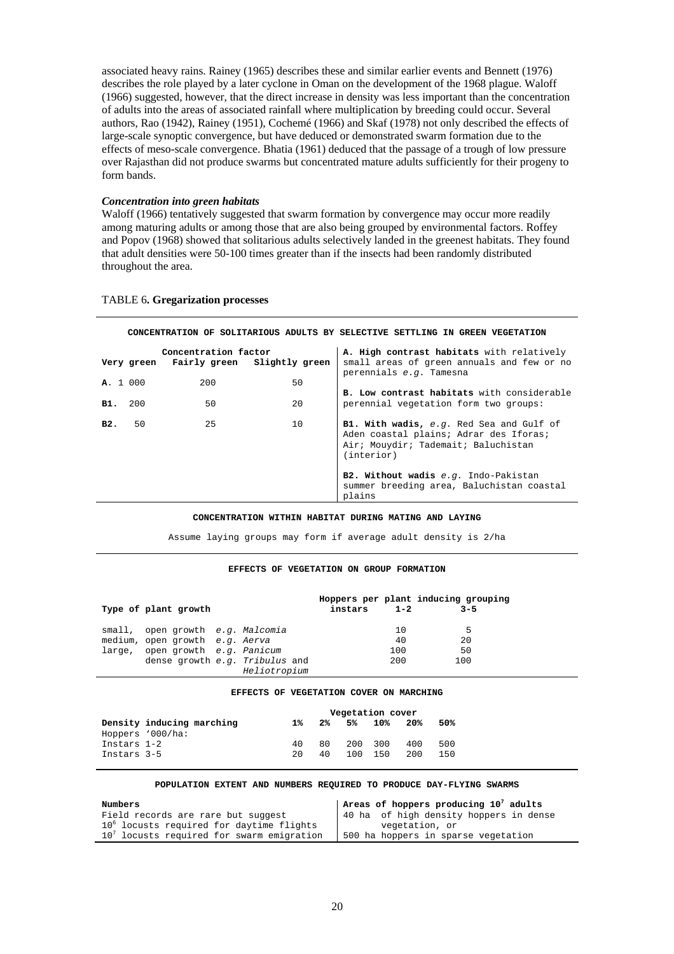associated heavy rains. Rainey (1965) describes these and similar earlier events and Bennett (1976) describes the role played by a later cyclone in Oman on the development of the 1968 plague. Waloff (1966) suggested, however, that the direct increase in density was less important than the concentration of adults into the areas of associated rainfall where multiplication by breeding could occur. Several authors, Rao (1942), Rainey (1951), Cochemé (1966) and Skaf (1978) not only described the effects of large-scale synoptic convergence, but have deduced or demonstrated swarm formation due to the effects of meso-scale convergence. Bhatia (1961) deduced that the passage of a trough of low pressure over Rajasthan did not produce swarms but concentrated mature adults sufficiently for their progeny to form bands.

#### *Concentration into green habitats*

Waloff (1966) tentatively suggested that swarm formation by convergence may occur more readily among maturing adults or among those that are also being grouped by environmental factors. Roffey and Popov (1968) showed that solitarious adults selectively landed in the greenest habitats. They found that adult densities were 50-100 times greater than if the insects had been randomly distributed throughout the area.

|          |            |                      | CONCENTRATION OF SOLITARIOUS ADULTS BY SELECTIVE SETTLING IN GREEN VEGETATION |                                                                                                                                         |
|----------|------------|----------------------|-------------------------------------------------------------------------------|-----------------------------------------------------------------------------------------------------------------------------------------|
|          | Very green | Concentration factor | Fairly green Slightly green                                                   | A. High contrast habitats with relatively<br>small areas of green annuals and few or no<br>perennials e.g. Tamesna                      |
| A. 1 000 |            | 200                  | 50                                                                            |                                                                                                                                         |
| в1.      | 200        | 50                   | 2.0                                                                           | <b>B. Low contrast habitats</b> with considerable<br>perennial vegetation form two groups:                                              |
| B2.      | 50         | 25                   | 10                                                                            | B1. With wadis, e.g. Red Sea and Gulf of<br>Aden coastal plains; Adrar des Iforas;<br>Air; Mouydir; Tademait; Baluchistan<br>(interior) |
|          |            |                      |                                                                               | B2. Without wadis e.g. Indo-Pakistan<br>summer breeding area, Baluchistan coastal<br>plains                                             |

#### TABLE 6**. Gregarization processes**

#### **CONCENTRATION WITHIN HABITAT DURING MATING AND LAYING**

Assume laying groups may form if average adult density is 2/ha

#### **EFFECTS OF VEGETATION ON GROUP FORMATION**

| Type of plant growth             |                                | instars 1-2 |     | Hoppers per plant inducing grouping<br>$3 - 5$ |
|----------------------------------|--------------------------------|-------------|-----|------------------------------------------------|
| small, open growth e.g. Malcomia |                                |             | 10  | 5                                              |
| medium, open growth e.g. Aerva   |                                |             | 40  | 20                                             |
| large, open growth e.g. Panicum  |                                |             | 100 | 50                                             |
|                                  | dense growth e.g. Tribulus and |             | 200 | 100                                            |
|                                  | Heliotropium                   |             |     |                                                |

#### **EFFECTS OF VEGETATION COVER ON MARCHING**

|             |                           |     |     | Vegetation cover |         |     |     |  |
|-------------|---------------------------|-----|-----|------------------|---------|-----|-----|--|
|             | Density inducing marching | 1 % |     | 2% 5% 10%        |         | 20% | 50% |  |
|             | Hoppers '000/ha:          |     |     |                  |         |     |     |  |
| Instars 1-2 |                           | 40  | 80. |                  | 200 300 | 400 | 500 |  |
| Instars 3-5 |                           | 20  | 40. |                  | 100 150 | 200 | 150 |  |

#### **POPULATION EXTENT AND NUMBERS REQUIRED TO PRODUCE DAY-FLYING SWARMS**

| Numbers                                     | $\vert$ Areas of hoppers producing 10 <sup>7</sup> adults |
|---------------------------------------------|-----------------------------------------------------------|
| Field records are rare but suggest          | 40 ha of high density hoppers in dense                    |
| 10° locusts required for daytime flights    | vegetation, or                                            |
| $107$ locusts required for swarm emigration | 500 ha hoppers in sparse vegetation                       |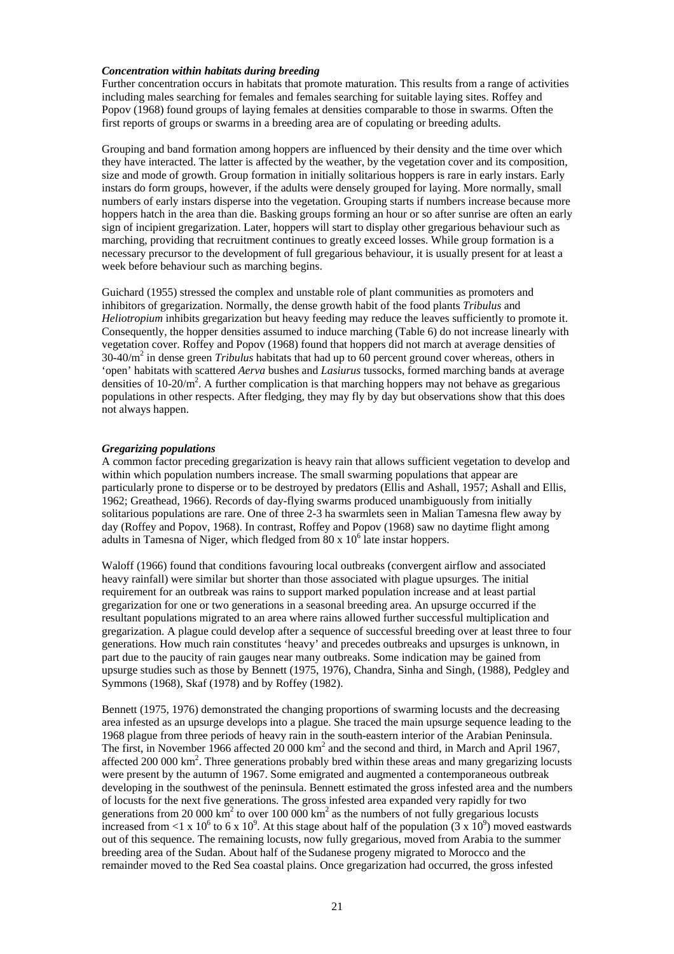#### *Concentration within habitats during breeding*

Further concentration occurs in habitats that promote maturation. This results from a range of activities including males searching for females and females searching for suitable laying sites. Roffey and Popov (1968) found groups of laying females at densities comparable to those in swarms. Often the first reports of groups or swarms in a breeding area are of copulating or breeding adults.

Grouping and band formation among hoppers are influenced by their density and the time over which they have interacted. The latter is affected by the weather, by the vegetation cover and its composition, size and mode of growth. Group formation in initially solitarious hoppers is rare in early instars. Early instars do form groups, however, if the adults were densely grouped for laying. More normally, small numbers of early instars disperse into the vegetation. Grouping starts if numbers increase because more hoppers hatch in the area than die. Basking groups forming an hour or so after sunrise are often an early sign of incipient gregarization. Later, hoppers will start to display other gregarious behaviour such as marching, providing that recruitment continues to greatly exceed losses. While group formation is a necessary precursor to the development of full gregarious behaviour, it is usually present for at least a week before behaviour such as marching begins.

Guichard (1955) stressed the complex and unstable role of plant communities as promoters and inhibitors of gregarization. Normally, the dense growth habit of the food plants *Tribulus* and *Heliotropium* inhibits gregarization but heavy feeding may reduce the leaves sufficiently to promote it. Consequently, the hopper densities assumed to induce marching (Table 6) do not increase linearly with vegetation cover. Roffey and Popov (1968) found that hoppers did not march at average densities of 30-40/m2 in dense green *Tribulus* habitats that had up to 60 percent ground cover whereas, others in 'open' habitats with scattered *Aerva* bushes and *Lasiurus* tussocks, formed marching bands at average densities of  $10{\text -}20/m^2$ . A further complication is that marching hoppers may not behave as gregarious populations in other respects. After fledging, they may fly by day but observations show that this does not always happen.

#### *Gregarizing populations*

A common factor preceding gregarization is heavy rain that allows sufficient vegetation to develop and within which population numbers increase. The small swarming populations that appear are particularly prone to disperse or to be destroyed by predators (Ellis and Ashall, 1957; Ashall and Ellis, 1962; Greathead, 1966). Records of day-flying swarms produced unambiguously from initially solitarious populations are rare. One of three 2-3 ha swarmlets seen in Malian Tamesna flew away by day (Roffey and Popov, 1968). In contrast, Roffey and Popov (1968) saw no daytime flight among adults in Tamesna of Niger, which fledged from  $80 \times 10^6$  late instar hoppers.

Waloff (1966) found that conditions favouring local outbreaks (convergent airflow and associated heavy rainfall) were similar but shorter than those associated with plague upsurges. The initial requirement for an outbreak was rains to support marked population increase and at least partial gregarization for one or two generations in a seasonal breeding area. An upsurge occurred if the resultant populations migrated to an area where rains allowed further successful multiplication and gregarization. A plague could develop after a sequence of successful breeding over at least three to four generations. How much rain constitutes 'heavy' and precedes outbreaks and upsurges is unknown, in part due to the paucity of rain gauges near many outbreaks. Some indication may be gained from upsurge studies such as those by Bennett (1975, 1976), Chandra, Sinha and Singh, (1988), Pedgley and Symmons (1968), Skaf (1978) and by Roffey (1982).

Bennett (1975, 1976) demonstrated the changing proportions of swarming locusts and the decreasing area infested as an upsurge develops into a plague. She traced the main upsurge sequence leading to the 1968 plague from three periods of heavy rain in the south-eastern interior of the Arabian Peninsula. The first, in November 1966 affected  $20000 \text{ km}^2$  and the second and third, in March and April 1967, affected 200 000 km<sup>2</sup>. Three generations probably bred within these areas and many gregarizing locusts were present by the autumn of 1967. Some emigrated and augmented a contemporaneous outbreak developing in the southwest of the peninsula. Bennett estimated the gross infested area and the numbers of locusts for the next five generations. The gross infested area expanded very rapidly for two generations from 20 000  $\text{km}^2$  to over 100 000  $\text{km}^2$  as the numbers of not fully gregarious locusts increased from <1 x 10<sup>6</sup> to 6 x 10<sup>9</sup>. At this stage about half of the population  $(3 \times 10^9)$  moved eastwards out of this sequence. The remaining locusts, now fully gregarious, moved from Arabia to the summer breeding area of the Sudan. About half of the Sudanese progeny migrated to Morocco and the remainder moved to the Red Sea coastal plains. Once gregarization had occurred, the gross infested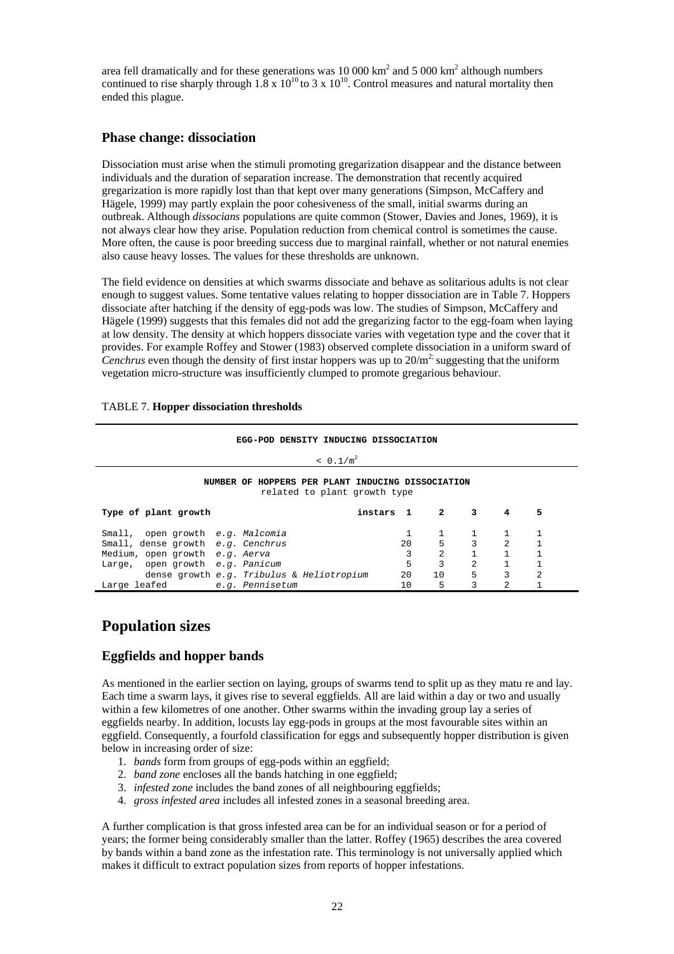area fell dramatically and for these generations was  $10\,000\ \text{km}^2$  and  $5\,000\ \text{km}^2$  although numbers continued to rise sharply through  $1.8 \times 10^{10}$  to 3 x  $10^{10}$ . Control measures and natural mortality then ended this plague.

## **Phase change: dissociation**

Dissociation must arise when the stimuli promoting gregarization disappear and the distance between individuals and the duration of separation increase. The demonstration that recently acquired gregarization is more rapidly lost than that kept over many generations (Simpson, McCaffery and Hägele, 1999) may partly explain the poor cohesiveness of the small, initial swarms during an outbreak. Although *dissocians* populations are quite common (Stower, Davies and Jones, 1969), it is not always clear how they arise. Population reduction from chemical control is sometimes the cause. More often, the cause is poor breeding success due to marginal rainfall, whether or not natural enemies also cause heavy losses. The values for these thresholds are unknown.

The field evidence on densities at which swarms dissociate and behave as solitarious adults is not clear enough to suggest values. Some tentative values relating to hopper dissociation are in Table 7. Hoppers dissociate after hatching if the density of egg-pods was low. The studies of Simpson, McCaffery and Hägele (1999) suggests that this females did not add the gregarizing factor to the egg-foam when laying at low density. The density at which hoppers dissociate varies with vegetation type and the cover that it provides. For example Roffey and Stower (1983) observed complete dissociation in a uniform sward of *Cenchrus* even though the density of first instar hoppers was up to  $20/m^2$ ; suggesting that the uniform vegetation micro-structure was insufficiently clumped to promote gregarious behaviour.

### TABLE 7. **Hopper dissociation thresholds**

## **EGG-POD DENSITY INDUCING DISSOCIATION**   $< 0.1/m<sup>2</sup>$ **NUMBER OF HOPPERS PER PLANT INDUCING DISSOCIATION**  related to plant growth type **Type of plant growth instars 1 2 3 4 5**  Small, open growth *e.g. Malcomia* 1 1 1 1 1 Small, dense growth *e.g. Cenchrus* 20 5 3 2 1 Medium, open growth *e.g. Aerva* 3 2 1 Large, open growth *e.g.* Panicum<br>
dense growth *e.g.* Tribulus & Heliotropium 20 10 5 3 2 dense growth *e.g. Tribulus* & *Heliotropium* Large leafed *e.g. Pennisetum* 10 5 3 2 1

## **Population sizes**

## **Eggfields and hopper bands**

As mentioned in the earlier section on laying, groups of swarms tend to split up as they matu re and lay. Each time a swarm lays, it gives rise to several eggfields. All are laid within a day or two and usually within a few kilometres of one another. Other swarms within the invading group lay a series of eggfields nearby. In addition, locusts lay egg-pods in groups at the most favourable sites within an eggfield. Consequently, a fourfold classification for eggs and subsequently hopper distribution is given below in increasing order of size:

- 1. *bands* form from groups of egg-pods within an eggfield;
- 2. *band zone* encloses all the bands hatching in one eggfield;
- 3. *infested zone* includes the band zones of all neighbouring eggfields;
- 4. *gross infested area* includes all infested zones in a seasonal breeding area.

A further complication is that gross infested area can be for an individual season or for a period of years; the former being considerably smaller than the latter. Roffey (1965) describes the area covered by bands within a band zone as the infestation rate. This terminology is not universally applied which makes it difficult to extract population sizes from reports of hopper infestations.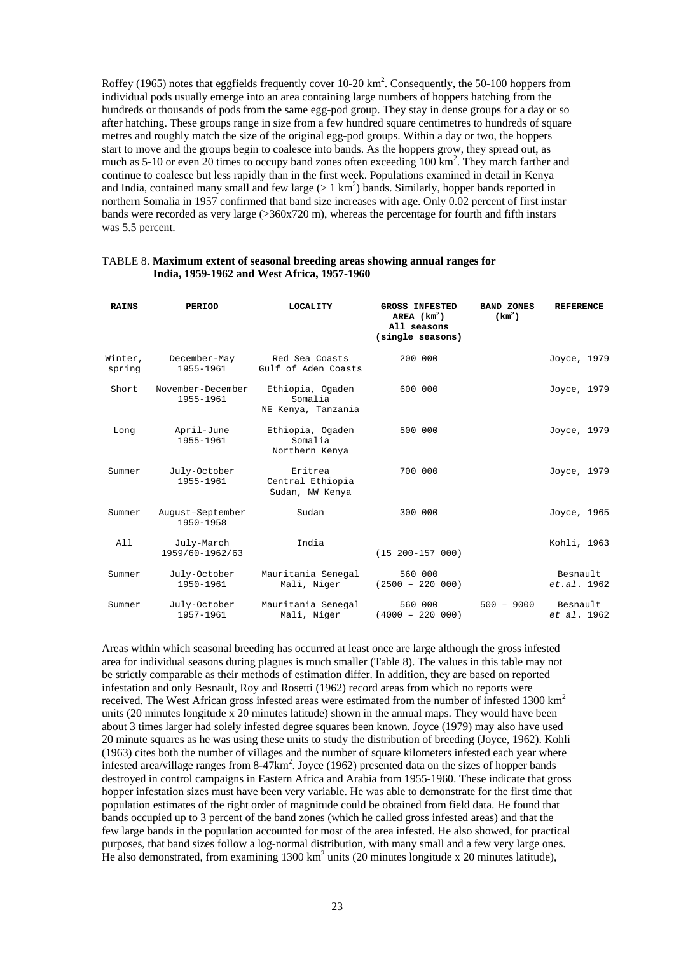Roffey (1965) notes that eggfields frequently cover  $10{\text -}20 \text{ km}^2$ . Consequently, the 50-100 hoppers from individual pods usually emerge into an area containing large numbers of hoppers hatching from the hundreds or thousands of pods from the same egg-pod group. They stay in dense groups for a day or so after hatching. These groups range in size from a few hundred square centimetres to hundreds of square metres and roughly match the size of the original egg-pod groups. Within a day or two, the hoppers start to move and the groups begin to coalesce into bands. As the hoppers grow, they spread out, as much as 5-10 or even 20 times to occupy band zones often exceeding 100 km<sup>2</sup>. They march farther and continue to coalesce but less rapidly than in the first week. Populations examined in detail in Kenya and India, contained many small and few large  $(> 1 \text{ km}^2)$  bands. Similarly, hopper bands reported in northern Somalia in 1957 confirmed that band size increases with age. Only 0.02 percent of first instar bands were recorded as very large (>360x720 m), whereas the percentage for fourth and fifth instars was 5.5 percent.

| <b>RAINS</b>      | PERIOD                         | <b>LOCALITY</b>                                   | <b>GROSS INFESTED</b><br>AREA $(km2)$<br>All seasons<br>(single seasons) | <b>BAND ZONES</b><br>(km <sup>2</sup> ) | <b>REFERENCE</b>        |
|-------------------|--------------------------------|---------------------------------------------------|--------------------------------------------------------------------------|-----------------------------------------|-------------------------|
| Winter,<br>spring | December-May<br>1955-1961      | Red Sea Coasts<br>Gulf of Aden Coasts             | 200 000                                                                  |                                         | Joyce, 1979             |
| Short             | November-December<br>1955-1961 | Ethiopia, Ogaden<br>Somalia<br>NE Kenya, Tanzania | 600 000                                                                  |                                         | Joyce, 1979             |
| Long              | April-June<br>1955-1961        | Ethiopia, Ogaden<br>Somalia<br>Northern Kenya     | 500 000                                                                  |                                         | Joyce, 1979             |
| Summer            | July-October<br>1955-1961      | Eritrea<br>Central Ethiopia<br>Sudan, NW Kenya    | 700 000                                                                  |                                         | Joyce, 1979             |
| Summer            | August-September<br>1950-1958  | Sudan                                             | 300 000                                                                  |                                         | Joyce, 1965             |
| A11               | July-March<br>1959/60-1962/63  | India                                             | $(15 200 - 157 000)$                                                     |                                         | Kohli, 1963             |
| Summer            | July-October<br>1950-1961      | Mauritania Senegal<br>Mali, Niger                 | 560 000<br>$(2500 - 220 000)$                                            |                                         | Besnault<br>et.a1.1962  |
| Summer            | July-October<br>1957-1961      | Mauritania Senegal<br>Mali, Niger                 | 560 000<br>$(4000 - 22000)$                                              | $500 - 9000$                            | Besnault<br>et al. 1962 |

#### TABLE 8. **Maximum extent of seasonal breeding areas showing annual ranges for India, 1959-1962 and West Africa, 1957-1960**

Areas within which seasonal breeding has occurred at least once are large although the gross infested area for individual seasons during plagues is much smaller (Table 8). The values in this table may not be strictly comparable as their methods of estimation differ. In addition, they are based on reported infestation and only Besnault, Roy and Rosetti (1962) record areas from which no reports were received. The West African gross infested areas were estimated from the number of infested 1300 km2 units (20 minutes longitude x 20 minutes latitude) shown in the annual maps. They would have been about 3 times larger had solely infested degree squares been known. Joyce (1979) may also have used 20 minute squares as he was using these units to study the distribution of breeding (Joyce, 1962). Kohli (1963) cites both the number of villages and the number of square kilometers infested each year where infested area/village ranges from 8-47km<sup>2</sup>. Joyce (1962) presented data on the sizes of hopper bands destroyed in control campaigns in Eastern Africa and Arabia from 1955-1960. These indicate that gross hopper infestation sizes must have been very variable. He was able to demonstrate for the first time that population estimates of the right order of magnitude could be obtained from field data. He found that bands occupied up to 3 percent of the band zones (which he called gross infested areas) and that the few large bands in the population accounted for most of the area infested. He also showed, for practical purposes, that band sizes follow a log-normal distribution, with many small and a few very large ones. He also demonstrated, from examining  $1300 \text{ km}^2$  units (20 minutes longitude x 20 minutes latitude),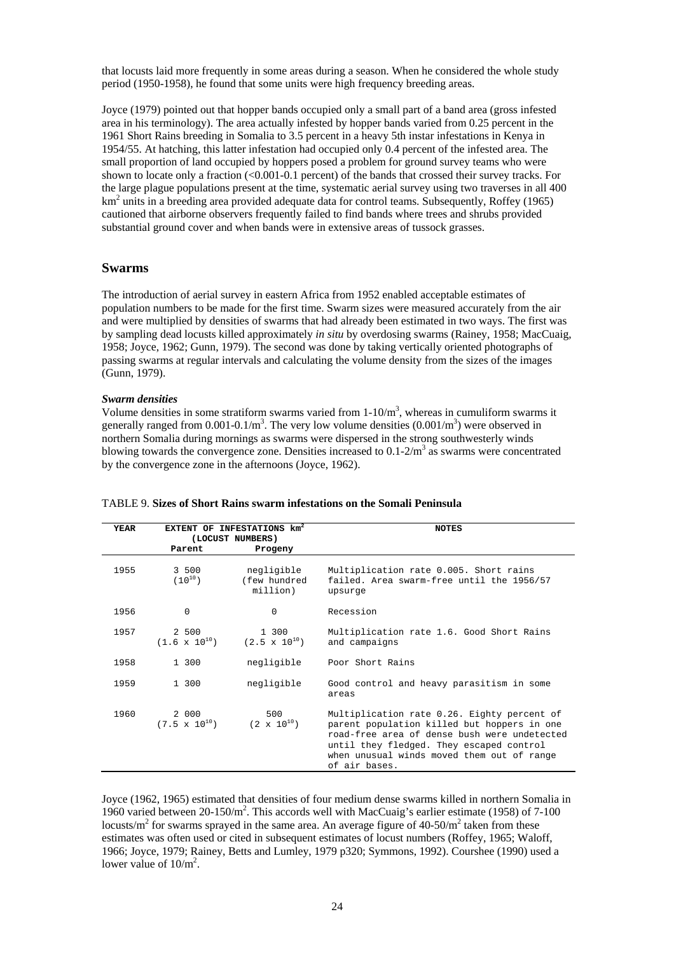that locusts laid more frequently in some areas during a season. When he considered the whole study period (1950-1958), he found that some units were high frequency breeding areas.

Joyce (1979) pointed out that hopper bands occupied only a small part of a band area (gross infested area in his terminology). The area actually infested by hopper bands varied from 0.25 percent in the 1961 Short Rains breeding in Somalia to 3.5 percent in a heavy 5th instar infestations in Kenya in 1954/55. At hatching, this latter infestation had occupied only 0.4 percent of the infested area. The small proportion of land occupied by hoppers posed a problem for ground survey teams who were shown to locate only a fraction (<0.001-0.1 percent) of the bands that crossed their survey tracks. For the large plague populations present at the time, systematic aerial survey using two traverses in all 400 km<sup>2</sup> units in a breeding area provided adequate data for control teams. Subsequently, Roffey (1965) cautioned that airborne observers frequently failed to find bands where trees and shrubs provided substantial ground cover and when bands were in extensive areas of tussock grasses.

### **Swarms**

The introduction of aerial survey in eastern Africa from 1952 enabled acceptable estimates of population numbers to be made for the first time. Swarm sizes were measured accurately from the air and were multiplied by densities of swarms that had already been estimated in two ways. The first was by sampling dead locusts killed approximately *in situ* by overdosing swarms (Rainey, 1958; MacCuaig, 1958; Joyce, 1962; Gunn, 1979). The second was done by taking vertically oriented photographs of passing swarms at regular intervals and calculating the volume density from the sizes of the images (Gunn, 1979).

#### *Swarm densities*

Volume densities in some stratiform swarms varied from  $1-10/m<sup>3</sup>$ , whereas in cumuliform swarms it generally ranged from 0.001-0.1/m<sup>3</sup>. The very low volume densities  $(0.001/m<sup>3</sup>)$  were observed in northern Somalia during mornings as swarms were dispersed in the strong southwesterly winds blowing towards the convergence zone. Densities increased to  $0.1\text{-}2/m^3$  as swarms were concentrated by the convergence zone in the afternoons (Joyce, 1962).

| YEAR |                                 | EXTENT OF INFESTATIONS km <sup>2</sup><br>(LOCUST NUMBERS) | NOTES                                                                                                                                                                                                                                                 |
|------|---------------------------------|------------------------------------------------------------|-------------------------------------------------------------------------------------------------------------------------------------------------------------------------------------------------------------------------------------------------------|
|      | Parent                          | Progeny                                                    |                                                                                                                                                                                                                                                       |
| 1955 | 3 500<br>$(10^{10})$            | negligible<br>(few hundred<br>million)                     | Multiplication rate 0.005. Short rains<br>failed. Area swarm-free until the 1956/57<br>upsurge                                                                                                                                                        |
| 1956 | $\Omega$                        | $\Omega$                                                   | Recession                                                                                                                                                                                                                                             |
| 1957 | 2 500                           | 1 300<br>$(1.6 \times 10^{10})$ $(2.5 \times 10^{10})$     | Multiplication rate 1.6. Good Short Rains<br>and campaigns                                                                                                                                                                                            |
| 1958 | 1 300                           | negligible                                                 | Poor Short Rains                                                                                                                                                                                                                                      |
| 1959 | 1 300                           | negligible                                                 | Good control and heavy parasitism in some<br>areas                                                                                                                                                                                                    |
| 1960 | 2 000<br>$(7.5 \times 10^{10})$ | 500<br>$(2 \times 10^{10})$                                | Multiplication rate 0.26. Eighty percent of<br>parent population killed but hoppers in one<br>road-free area of dense bush were undetected<br>until they fledged. They escaped control<br>when unusual winds moved them out of range<br>of air bases. |

### TABLE 9. **Sizes of Short Rains swarm infestations on the Somali Peninsula**

Joyce (1962, 1965) estimated that densities of four medium dense swarms killed in northern Somalia in 1960 varied between 20-150/m<sup>2</sup>. This accords well with MacCuaig's earlier estimate (1958) of 7-100 locusts/ $m^2$  for swarms sprayed in the same area. An average figure of 40-50/ $m^2$  taken from these estimates was often used or cited in subsequent estimates of locust numbers (Roffey, 1965; Waloff, 1966; Joyce, 1979; Rainey, Betts and Lumley, 1979 p320; Symmons, 1992). Courshee (1990) used a lower value of  $10/m^2$ .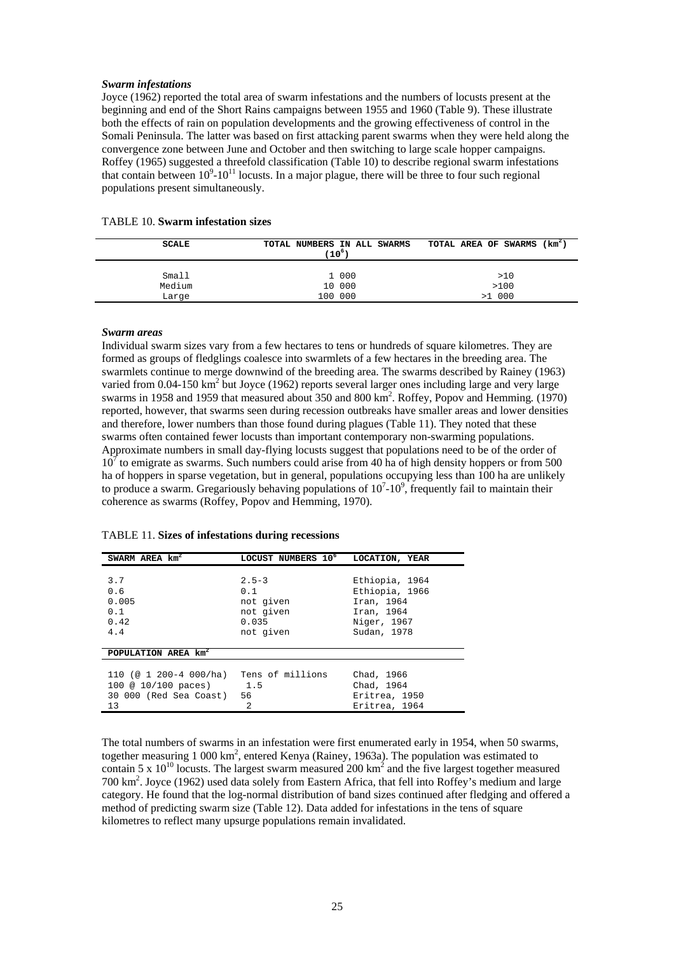#### *Swarm infestations*

Joyce (1962) reported the total area of swarm infestations and the numbers of locusts present at the beginning and end of the Short Rains campaigns between 1955 and 1960 (Table 9). These illustrate both the effects of rain on population developments and the growing effectiveness of control in the Somali Peninsula. The latter was based on first attacking parent swarms when they were held along the convergence zone between June and October and then switching to large scale hopper campaigns. Roffey (1965) suggested a threefold classification (Table 10) to describe regional swarm infestations that contain between  $10^9$ -10<sup>11</sup> locusts. In a major plague, there will be three to four such regional populations present simultaneously.

| <b>TABLE 10. Swarm infestation sizes</b> |  |  |  |
|------------------------------------------|--|--|--|
|------------------------------------------|--|--|--|

| SCALE           | TOTAL NUMBERS IN ALL SWARMS<br>(10 <sup>6</sup> ) | TOTAL AREA OF SWARMS (km <sup>2</sup> ) |
|-----------------|---------------------------------------------------|-----------------------------------------|
| Small           | 1 000                                             | >10                                     |
| Medium<br>Large | 10 000<br>100 000                                 | >100<br>$>1$ 000                        |

#### *Swarm areas*

Individual swarm sizes vary from a few hectares to tens or hundreds of square kilometres. They are formed as groups of fledglings coalesce into swarmlets of a few hectares in the breeding area. The swarmlets continue to merge downwind of the breeding area. The swarms described by Rainey (1963) varied from 0.04-150 km<sup>2</sup> but Joyce (1962) reports several larger ones including large and very large swarms in 1958 and 1959 that measured about 350 and 800 km2 . Roffey, Popov and Hemming*.* (1970) reported, however, that swarms seen during recession outbreaks have smaller areas and lower densities and therefore, lower numbers than those found during plagues (Table 11). They noted that these swarms often contained fewer locusts than important contemporary non-swarming populations. Approximate numbers in small day-flying locusts suggest that populations need to be of the order of  $10<sup>7</sup>$  to emigrate as swarms. Such numbers could arise from 40 ha of high density hoppers or from 500 ha of hoppers in sparse vegetation, but in general, populations occupying less than 100 ha are unlikely to produce a swarm. Gregariously behaving populations of  $10^7\t{-}10^9$ , frequently fail to maintain their coherence as swarms (Roffey, Popov and Hemming, 1970).

|  |  | <b>TABLE 11. Sizes of infestations during recessions</b> |  |
|--|--|----------------------------------------------------------|--|
|  |  |                                                          |  |

| SWARM AREA km <sup>2</sup>                                                        | LOCUST NUMBERS 10 <sup>6</sup>                                   | LOCATION, YEAR                                                                             |
|-----------------------------------------------------------------------------------|------------------------------------------------------------------|--------------------------------------------------------------------------------------------|
| 3.7<br>0.6<br>0.005<br>0.1<br>0.42<br>4.4                                         | $2.5 - 3$<br>0.1<br>not given<br>not given<br>0.035<br>not given | Ethiopia, 1964<br>Ethiopia, 1966<br>Iran, 1964<br>Iran, 1964<br>Niger, 1967<br>Sudan, 1978 |
| POPULATION AREA km <sup>2</sup>                                                   |                                                                  |                                                                                            |
| 110 (@ 1 200-4 000/ha)<br>100 @ 10/100 paces) 1.5<br>30 000 (Red Sea Coast)<br>13 | Tens of millions<br>56<br>$\mathfrak{D}$                         | Chad, 1966<br>Chad, 1964<br>Eritrea, 1950<br>Eritrea, 1964                                 |

The total numbers of swarms in an infestation were first enumerated early in 1954, when 50 swarms, together measuring 1 000 km<sup>2</sup>, entered Kenya (Rainey, 1963a). The population was estimated to contain 5 x  $10^{10}$  locusts. The largest swarm measured 200 km<sup>2</sup> and the five largest together measured 700 km2 . Joyce (1962) used data solely from Eastern Africa, that fell into Roffey's medium and large category. He found that the log-normal distribution of band sizes continued after fledging and offered a method of predicting swarm size (Table 12). Data added for infestations in the tens of square kilometres to reflect many upsurge populations remain invalidated.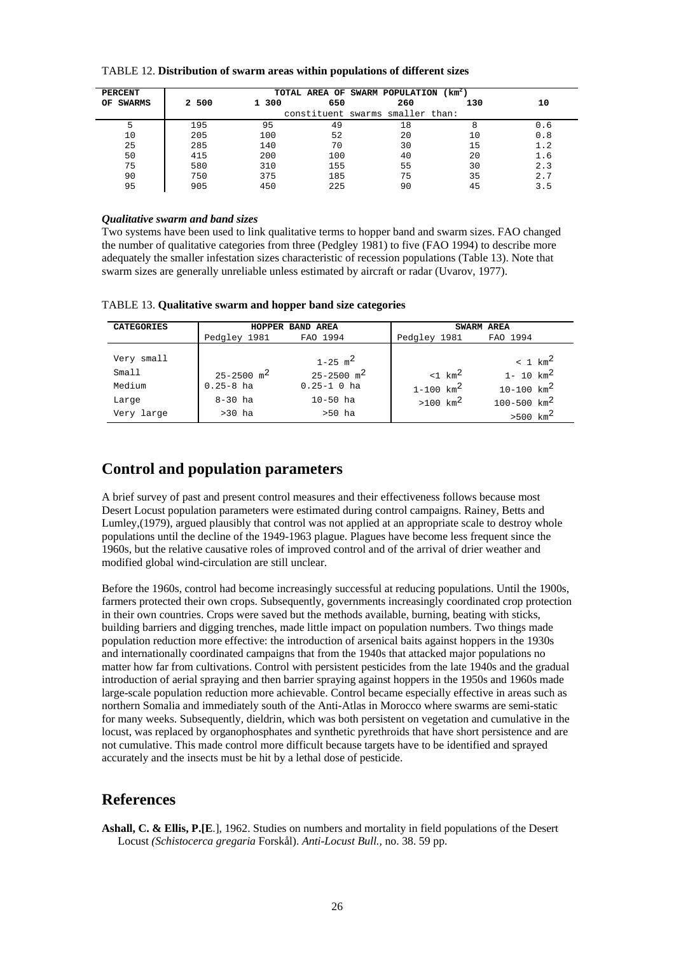| TABLE 12. Distribution of swarm areas within populations of different sizes |  |
|-----------------------------------------------------------------------------|--|
|-----------------------------------------------------------------------------|--|

| <b>PERCENT</b><br>OF SWARMS | 2 500 | 1 300 | 650 | TOTAL AREA OF SWARM POPULATION (km <sup>2</sup> )<br>260 | 130 | 10  |
|-----------------------------|-------|-------|-----|----------------------------------------------------------|-----|-----|
|                             |       |       |     | constituent swarms smaller than:                         |     |     |
|                             | 195   | 95    | 49  | 18                                                       | 8   | 0.6 |
| 10                          | 205   | 100   | 52  | 20                                                       | 10  | 0.8 |
| 25                          | 285   | 140   | 70  | 30                                                       | 15  | 1.2 |
| 50                          | 415   | 200   | 100 | 40                                                       | 20  | 1.6 |
| 75                          | 580   | 310   | 155 | 55                                                       | 30  | 2.3 |
| 90                          | 750   | 375   | 185 | 75                                                       | 35  | 2.7 |
| 95                          | 905   | 450   | 225 | 90                                                       | 45  | 3.5 |

#### *Qualitative swarm and band sizes*

Two systems have been used to link qualitative terms to hopper band and swarm sizes. FAO changed the number of qualitative categories from three (Pedgley 1981) to five (FAO 1994) to describe more adequately the smaller infestation sizes characteristic of recession populations (Table 13). Note that swarm sizes are generally unreliable unless estimated by aircraft or radar (Uvarov, 1977).

| <b>CATEGORIES</b> |                            | HOPPER BAND AREA           |                           | SWARM AREA               |  |  |
|-------------------|----------------------------|----------------------------|---------------------------|--------------------------|--|--|
|                   | Pedgley 1981               | FAO 1994                   | Pedgley 1981              | FAO 1994                 |  |  |
| Very small        |                            | $1 - 25$ m <sup>2</sup>    |                           | $< 1$ km <sup>2</sup>    |  |  |
| Small             | $25 - 2500$ m <sup>2</sup> | $25 - 2500$ m <sup>2</sup> | $1 \text{ km}^2$          | $1 - 10$ km <sup>2</sup> |  |  |
| Medium            | $0.25 - 8$ ha              | $0.25 - 1$ 0 ha            | $1 - 100$ km <sup>2</sup> | $10 - 100$ $km^2$        |  |  |
| Large             | $8 - 30$ ha                | $10 - 50$ ha               | $>100$ km <sup>2</sup>    | $100 - 500$ $km^2$       |  |  |
| Very large        | $>30$ ha                   | $>50$ ha                   |                           | $>500$ $km^2$            |  |  |

TABLE 13. **Qualitative swarm and hopper band size categories** 

## **Control and population parameters**

A brief survey of past and present control measures and their effectiveness follows because most Desert Locust population parameters were estimated during control campaigns. Rainey, Betts and Lumley,(1979), argued plausibly that control was not applied at an appropriate scale to destroy whole populations until the decline of the 1949-1963 plague. Plagues have become less frequent since the 1960s, but the relative causative roles of improved control and of the arrival of drier weather and modified global wind-circulation are still unclear.

Before the 1960s, control had become increasingly successful at reducing populations. Until the 1900s, farmers protected their own crops. Subsequently, governments increasingly coordinated crop protection in their own countries. Crops were saved but the methods available, burning, beating with sticks, building barriers and digging trenches, made little impact on population numbers. Two things made population reduction more effective: the introduction of arsenical baits against hoppers in the 1930s and internationally coordinated campaigns that from the 1940s that attacked major populations no matter how far from cultivations. Control with persistent pesticides from the late 1940s and the gradual introduction of aerial spraying and then barrier spraying against hoppers in the 1950s and 1960s made large-scale population reduction more achievable. Control became especially effective in areas such as northern Somalia and immediately south of the Anti-Atlas in Morocco where swarms are semi-static for many weeks. Subsequently, dieldrin, which was both persistent on vegetation and cumulative in the locust, was replaced by organophosphates and synthetic pyrethroids that have short persistence and are not cumulative. This made control more difficult because targets have to be identified and sprayed accurately and the insects must be hit by a lethal dose of pesticide.

## **References**

**Ashall, C. & Ellis, P.[E**.], 1962. Studies on numbers and mortality in field populations of the Desert Locust *(Schistocerca gregaria* Forskål). *Anti-Locust Bull.,* no. 38. 59 pp.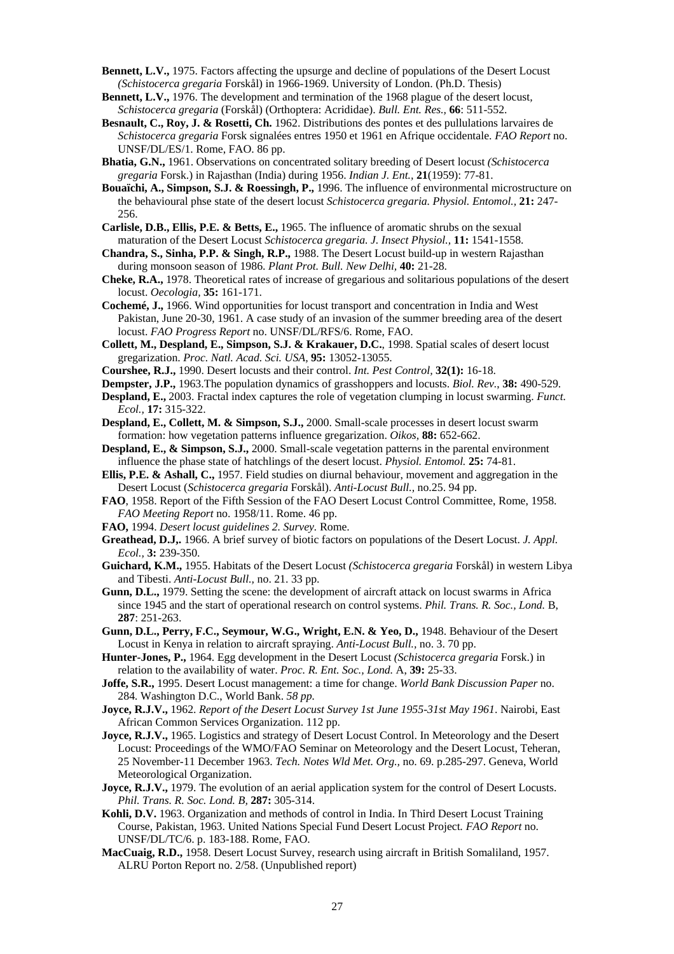- **Bennett, L.V.,** 1975. Factors affecting the upsurge and decline of populations of the Desert Locust *(Schistocerca gregaria* Forskål) in 1966-1969. University of London. (Ph.D. Thesis)
- **Bennett, L.V.,** 1976. The development and termination of the 1968 plague of the desert locust*, Schistocerca gregaria* (Forskål) (Orthoptera: Acrididae). *Bull. Ent. Res.,* **66**: 511-552.
- **Besnault, C., Roy, J. & Rosetti, Ch.** 1962. Distributions des pontes et des pullulations larvaires de *Schistocerca gregaria* Forsk signalées entres 1950 et 1961 en Afrique occidentale. *FAO Report* no. UNSF/DL/ES/1. Rome, FAO. 86 pp.
- **Bhatia, G.N.,** 1961. Observations on concentrated solitary breeding of Desert locust *(Schistocerca gregaria* Forsk.) in Rajasthan (India) during 1956. *Indian J. Ent.,* **21**(1959): 77-81.
- **Bouaïchi, A., Simpson, S.J. & Roessingh, P.,** 1996. The influence of environmental microstructure on the behavioural phse state of the desert locust *Schistocerca gregaria. Physiol. Entomol.,* **21:** 247- 256.
- **Carlisle, D.B., Ellis, P.E. & Betts, E.,** 1965. The influence of aromatic shrubs on the sexual maturation of the Desert Locust *Schistocerca gregaria. J. Insect Physiol.,* **11:** 1541-1558.
- **Chandra, S., Sinha, P.P. & Singh, R.P.,** 1988. The Desert Locust build-up in western Rajasthan during monsoon season of 1986. *Plant Prot. Bull. New Delhi,* **40:** 21-28.
- **Cheke, R.A.,** 1978. Theoretical rates of increase of gregarious and solitarious populations of the desert locust. *Oecologia,* **35:** 161-171.
- **Cochemé, J.,** 1966. Wind opportunities for locust transport and concentration in India and West Pakistan, June 20-30, 1961. A case study of an invasion of the summer breeding area of the desert locust. *FAO Progress Report* no. UNSF/DL/RFS/6. Rome, FAO.
- **Collett, M., Despland, E., Simpson, S.J. & Krakauer, D.C.**, 1998. Spatial scales of desert locust gregarization. *Proc. Natl. Acad. Sci. USA,* **95:** 13052-13055.
- **Courshee, R.J.,** 1990. Desert locusts and their control. *Int. Pest Control,* **32(1):** 16-18.
- **Dempster, J.P.,** 1963.The population dynamics of grasshoppers and locusts. *Biol. Rev.*, **38:** 490-529.
- **Despland, E.,** 2003. Fractal index captures the role of vegetation clumping in locust swarming. *Funct. Ecol.,* **17:** 315-322.
- **Despland, E., Collett, M. & Simpson, S.J.,** 2000. Small-scale processes in desert locust swarm formation: how vegetation patterns influence gregarization. *Oikos,* **88:** 652-662.
- **Despland, E., & Simpson, S.J.,** 2000. Small-scale vegetation patterns in the parental environment influence the phase state of hatchlings of the desert locust. *Physiol. Entomol.* **25:** 74-81.
- **Ellis, P.E. & Ashall, C.,** 1957. Field studies on diurnal behaviour, movement and aggregation in the Desert Locust (*Schistocerca gregaria* Forskål). *Anti-Locust Bull.,* no.25. 94 pp.
- **FAO**, 1958. Report of the Fifth Session of the FAO Desert Locust Control Committee, Rome, 1958. *FAO Meeting Report* no. 1958/11. Rome. 46 pp.
- **FAO,** 1994. *Desert locust guidelines 2. Survey.* Rome.
- **Greathead, D.J,.** 1966. A brief survey of biotic factors on populations of the Desert Locust. *J. Appl. Ecol.,* **3:** 239-350.
- **Guichard, K.M.,** 1955. Habitats of the Desert Locust *(Schistocerca gregaria* Forskål) in western Libya and Tibesti. *Anti-Locust Bull.,* no. 21. 33 pp.
- **Gunn, D.L.,** 1979. Setting the scene: the development of aircraft attack on locust swarms in Africa since 1945 and the start of operational research on control systems. *Phil. Trans. R. Soc., Lond.* B, **287**: 251-263.
- **Gunn, D.L., Perry, F.C., Seymour, W.G., Wright, E.N. & Yeo, D.,** 1948. Behaviour of the Desert Locust in Kenya in relation to aircraft spraying. *Anti-Locust Bull.,* no. 3. 70 pp.
- **Hunter-Jones, P.,** 1964. Egg development in the Desert Locust *(Schistocerca gregaria* Forsk.) in relation to the availability of water. *Proc. R. Ent. Soc., Lond.* A, **39:** 25-33.
- **Joffe, S.R.,** 1995. Desert Locust management: a time for change. *World Bank Discussion Paper* no. 284*.* Washington D.C., World Bank. *58 pp.*
- **Joyce, R.J.V.,** 1962. *Report of the Desert Locust Survey 1st June 1955-31st May 1961*. Nairobi, East African Common Services Organization. 112 pp.
- **Joyce, R.J.V.,** 1965. Logistics and strategy of Desert Locust Control. In Meteorology and the Desert Locust: Proceedings of the WMO/FAO Seminar on Meteorology and the Desert Locust, Teheran, 25 November-11 December 1963. *Tech. Notes Wld Met. Org.,* no. 69. p.285-297. Geneva, World Meteorological Organization.
- **Joyce, R.J.V.,** 1979. The evolution of an aerial application system for the control of Desert Locusts. *Phil. Trans. R. Soc. Lond. B,* **287:** 305-314.
- **Kohli, D.V.** 1963. Organization and methods of control in India. In Third Desert Locust Training Course, Pakistan, 1963. United Nations Special Fund Desert Locust Project*. FAO Report* no. UNSF/DL/TC/6. p. 183-188. Rome, FAO.
- **MacCuaig, R.D.,** 1958. Desert Locust Survey, research using aircraft in British Somaliland, 1957. ALRU Porton Report no. 2/58. (Unpublished report)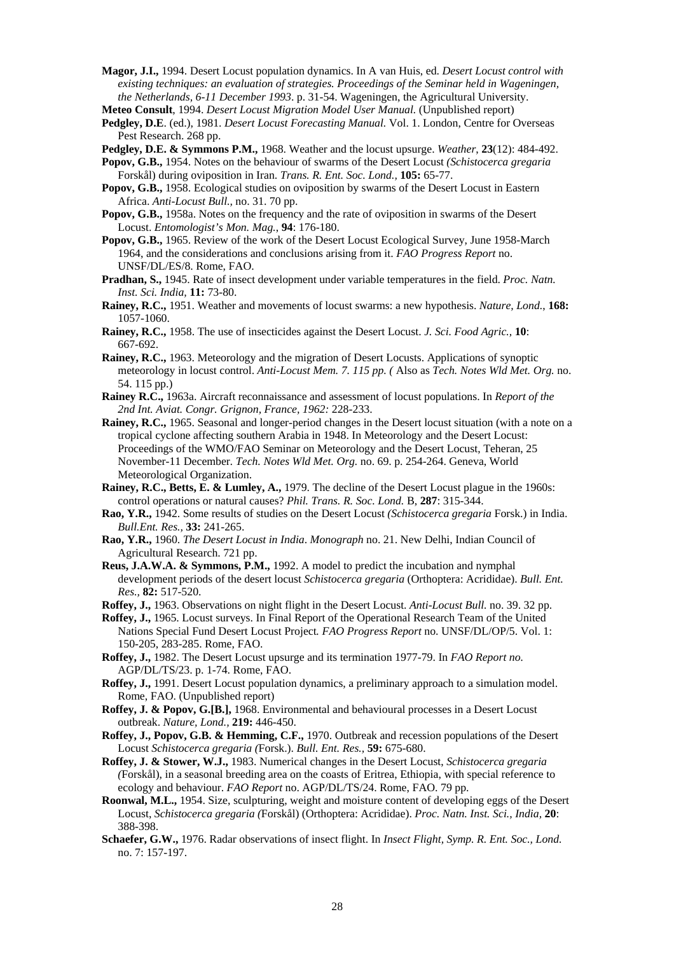- **Magor, J.I.,** 1994. Desert Locust population dynamics. In A van Huis, ed. *Desert Locust control with existing techniques: an evaluation of strategies. Proceedings of the Seminar held in Wageningen, the Netherlands, 6-11 December 1993*. p. 31-54. Wageningen, the Agricultural University. **Meteo Consult**, 1994. *Desert Locust Migration Model User Manual.* (Unpublished report)
- **Pedgley, D.E**. (ed.), 1981. *Desert Locust Forecasting Manual.* Vol. 1. London, Centre for Overseas Pest Research. 268 pp.
- **Pedgley, D.E. & Symmons P.M.,** 1968. Weather and the locust upsurge. *Weather*, **23**(12): 484-492.
- **Popov, G.B.,** 1954. Notes on the behaviour of swarms of the Desert Locust *(Schistocerca gregaria* Forskål) during oviposition in Iran. *Trans. R. Ent. Soc. Lond.,* **105:** 65-77.
- **Popov, G.B.,** 1958. Ecological studies on oviposition by swarms of the Desert Locust in Eastern Africa. *Anti-Locust Bull.,* no. 31. 70 pp.
- **Popov, G.B.,** 1958a. Notes on the frequency and the rate of oviposition in swarms of the Desert Locust. *Entomologist's Mon. Mag.*, **94**: 176-180.
- **Popov, G.B.,** 1965. Review of the work of the Desert Locust Ecological Survey, June 1958-March 1964, and the considerations and conclusions arising from it. *FAO Progress Report* no. UNSF/DL/ES/8. Rome, FAO.
- **Pradhan, S.,** 1945. Rate of insect development under variable temperatures in the field. *Proc. Natn. Inst. Sci. India,* **11:** 73-80.
- **Rainey, R.C.,** 1951. Weather and movements of locust swarms: a new hypothesis. *Nature, Lond.*, **168:** 1057-1060.
- **Rainey, R.C.,** 1958. The use of insecticides against the Desert Locust. *J. Sci. Food Agric.,* **10**: 667-692.
- **Rainey, R.C.,** 1963. Meteorology and the migration of Desert Locusts. Applications of synoptic meteorology in locust control. *Anti-Locust Mem. 7. 115 pp. (* Also as *Tech. Notes Wld Met. Org.* no. 54. 115 pp.)
- **Rainey R.C.,** 1963a. Aircraft reconnaissance and assessment of locust populations. In *Report of the 2nd Int. Aviat. Congr. Grignon, France, 1962:* 228-233.
- **Rainey, R.C.,** 1965. Seasonal and longer-period changes in the Desert locust situation (with a note on a tropical cyclone affecting southern Arabia in 1948. In Meteorology and the Desert Locust: Proceedings of the WMO/FAO Seminar on Meteorology and the Desert Locust, Teheran, 25 November-11 December*. Tech. Notes Wld Met. Org.* no. 69. p. 254-264. Geneva, World Meteorological Organization.
- **Rainey, R.C., Betts, E. & Lumley, A.,** 1979. The decline of the Desert Locust plague in the 1960s: control operations or natural causes? *Phil. Trans. R. Soc. Lond.* B, **287**: 315-344.
- **Rao, Y.R.,** 1942. Some results of studies on the Desert Locust *(Schistocerca gregaria* Forsk.) in India. *Bull.Ent. Res.,* **33:** 241-265.
- **Rao, Y.R.,** 1960. *The Desert Locust in India*. *Monograph* no. 21. New Delhi, Indian Council of Agricultural Research. 721 pp.
- **Reus, J.A.W.A. & Symmons, P.M.,** 1992. A model to predict the incubation and nymphal development periods of the desert locust *Schistocerca gregaria* (Orthoptera: Acrididae). *Bull. Ent. Res.,* **82:** 517-520.
- **Roffey, J.,** 1963. Observations on night flight in the Desert Locust. *Anti-Locust Bull.* no. 39. 32 pp.
- **Roffey, J.,** 1965. Locust surveys. In Final Report of the Operational Research Team of the United Nations Special Fund Desert Locust Project*. FAO Progress Report* no. UNSF/DL/OP/5. Vol. 1: 150-205, 283-285. Rome, FAO.
- **Roffey, J.,** 1982. The Desert Locust upsurge and its termination 1977-79. In *FAO Report no.*  AGP/DL/TS/23. p. 1-74. Rome, FAO.
- **Roffey, J.,** 1991. Desert Locust population dynamics, a preliminary approach to a simulation model. Rome, FAO. (Unpublished report)
- **Roffey, J. & Popov, G.[B.],** 1968. Environmental and behavioural processes in a Desert Locust outbreak. *Nature, Lond.,* **219:** 446-450.
- **Roffey, J., Popov, G.B. & Hemming, C.F.,** 1970. Outbreak and recession populations of the Desert Locust *Schistocerca gregaria (*Forsk.). *Bull. Ent. Res.,* **59:** 675-680.
- **Roffey, J. & Stower, W.J.,** 1983. Numerical changes in the Desert Locust, *Schistocerca gregaria (*Forskål), in a seasonal breeding area on the coasts of Eritrea, Ethiopia, with special reference to ecology and behaviour. *FAO Report* no. AGP/DL/TS/24. Rome, FAO. 79 pp.
- **Roonwal, M.L.,** 1954. Size, sculpturing, weight and moisture content of developing eggs of the Desert Locust, *Schistocerca gregaria (*Forskål) (Orthoptera: Acrididae). *Proc. Natn. Inst. Sci., India,* **20**: 388-398.
- **Schaefer, G.W.,** 1976. Radar observations of insect flight. In *Insect Flight, Symp. R. Ent. Soc., Lond.*  no. 7: 157-197.